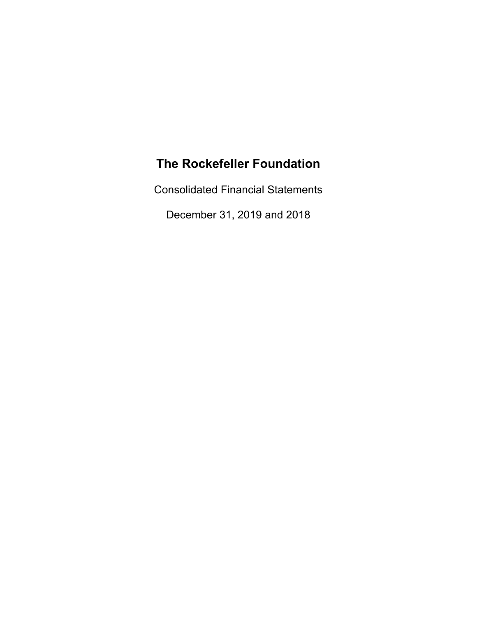Consolidated Financial Statements

December 31, 2019 and 2018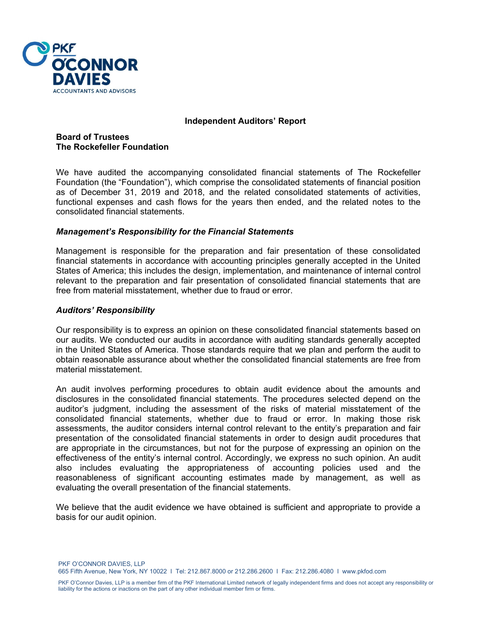

#### **Independent Auditors' Report**

# **Board of Trustees The Rockefeller Foundation**

We have audited the accompanying consolidated financial statements of The Rockefeller Foundation (the "Foundation"), which comprise the consolidated statements of financial position as of December 31, 2019 and 2018, and the related consolidated statements of activities, functional expenses and cash flows for the years then ended, and the related notes to the consolidated financial statements.

#### *Management's Responsibility for the Financial Statements*

Management is responsible for the preparation and fair presentation of these consolidated financial statements in accordance with accounting principles generally accepted in the United States of America; this includes the design, implementation, and maintenance of internal control relevant to the preparation and fair presentation of consolidated financial statements that are free from material misstatement, whether due to fraud or error.

#### *Auditors' Responsibility*

Our responsibility is to express an opinion on these consolidated financial statements based on our audits. We conducted our audits in accordance with auditing standards generally accepted in the United States of America. Those standards require that we plan and perform the audit to obtain reasonable assurance about whether the consolidated financial statements are free from material misstatement.

An audit involves performing procedures to obtain audit evidence about the amounts and disclosures in the consolidated financial statements. The procedures selected depend on the auditor's judgment, including the assessment of the risks of material misstatement of the consolidated financial statements, whether due to fraud or error. In making those risk assessments, the auditor considers internal control relevant to the entity's preparation and fair presentation of the consolidated financial statements in order to design audit procedures that are appropriate in the circumstances, but not for the purpose of expressing an opinion on the effectiveness of the entity's internal control. Accordingly, we express no such opinion. An audit also includes evaluating the appropriateness of accounting policies used and the reasonableness of significant accounting estimates made by management, as well as evaluating the overall presentation of the financial statements.

We believe that the audit evidence we have obtained is sufficient and appropriate to provide a basis for our audit opinion.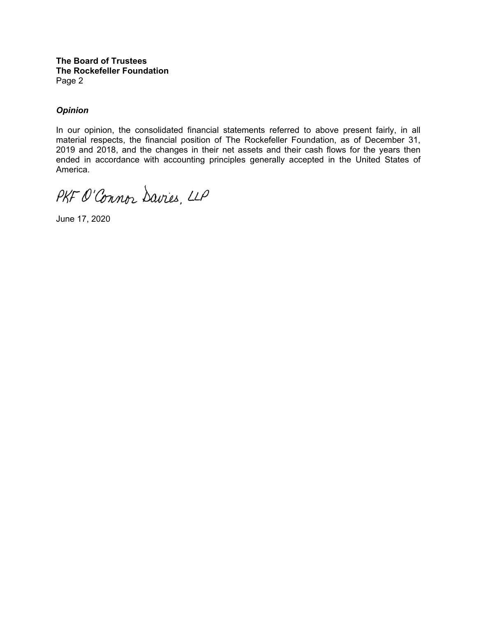**The Board of Trustees The Rockefeller Foundation**  Page 2

# *Opinion*

In our opinion, the consolidated financial statements referred to above present fairly, in all material respects, the financial position of The Rockefeller Foundation, as of December 31, 2019 and 2018, and the changes in their net assets and their cash flows for the years then ended in accordance with accounting principles generally accepted in the United States of America.

PKF O'Connor Davies, LLP

June 17, 2020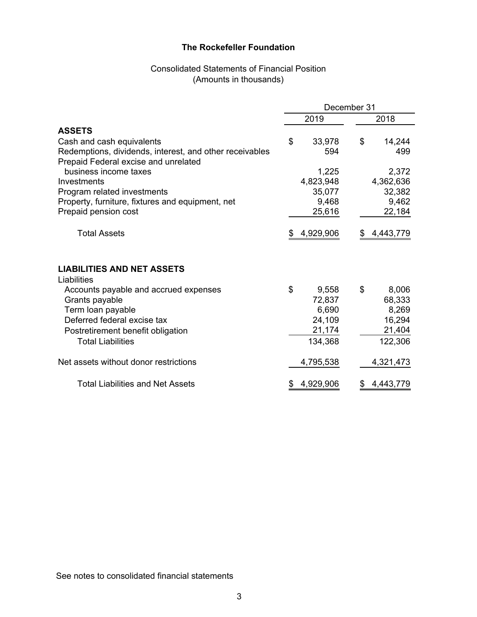# Consolidated Statements of Financial Position (Amounts in thousands)

|                                                         | December 31 |           |    |           |  |  |
|---------------------------------------------------------|-------------|-----------|----|-----------|--|--|
|                                                         |             | 2019      |    | 2018      |  |  |
| <b>ASSETS</b>                                           |             |           |    |           |  |  |
| Cash and cash equivalents                               | \$          | 33,978    | \$ | 14,244    |  |  |
| Redemptions, dividends, interest, and other receivables |             | 594       |    | 499       |  |  |
| Prepaid Federal excise and unrelated                    |             |           |    |           |  |  |
| business income taxes                                   |             | 1,225     |    | 2,372     |  |  |
| Investments                                             |             | 4,823,948 |    | 4,362,636 |  |  |
| Program related investments                             |             | 35,077    |    | 32,382    |  |  |
| Property, furniture, fixtures and equipment, net        |             | 9,468     |    | 9,462     |  |  |
| Prepaid pension cost                                    |             | 25,616    |    | 22,184    |  |  |
| <b>Total Assets</b>                                     |             | 4,929,906 |    | 4,443,779 |  |  |
| <b>LIABILITIES AND NET ASSETS</b>                       |             |           |    |           |  |  |
| Liabilities                                             |             |           |    |           |  |  |
| Accounts payable and accrued expenses                   | \$          | 9,558     | \$ | 8,006     |  |  |
| Grants payable                                          |             | 72,837    |    | 68,333    |  |  |
| Term loan payable                                       |             | 6,690     |    | 8,269     |  |  |
| Deferred federal excise tax                             |             | 24,109    |    | 16,294    |  |  |
| Postretirement benefit obligation                       |             | 21,174    |    | 21,404    |  |  |
| <b>Total Liabilities</b>                                |             | 134,368   |    | 122,306   |  |  |
| Net assets without donor restrictions                   |             | 4,795,538 |    | 4,321,473 |  |  |
| <b>Total Liabilities and Net Assets</b>                 |             | 4,929,906 |    | 4,443,779 |  |  |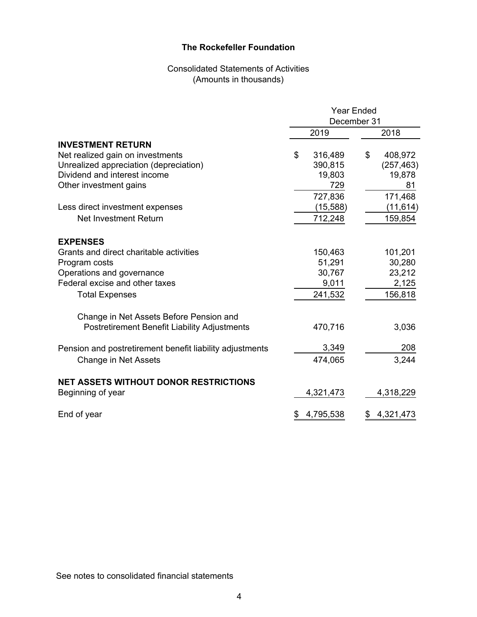# Consolidated Statements of Activities (Amounts in thousands)

|                                                                   | <b>Year Ended</b> |             |    |            |  |  |  |
|-------------------------------------------------------------------|-------------------|-------------|----|------------|--|--|--|
|                                                                   |                   | December 31 |    |            |  |  |  |
|                                                                   |                   | 2019        |    | 2018       |  |  |  |
| <b>INVESTMENT RETURN</b>                                          |                   |             |    |            |  |  |  |
| Net realized gain on investments                                  | \$                | 316,489     | \$ | 408,972    |  |  |  |
| Unrealized appreciation (depreciation)                            |                   | 390,815     |    | (257, 463) |  |  |  |
| Dividend and interest income                                      |                   | 19,803      |    | 19,878     |  |  |  |
| Other investment gains                                            |                   | 729         |    | 81         |  |  |  |
|                                                                   |                   | 727,836     |    | 171,468    |  |  |  |
| Less direct investment expenses                                   |                   | (15, 588)   |    | (11,614)   |  |  |  |
| <b>Net Investment Return</b>                                      |                   | 712,248     |    | 159,854    |  |  |  |
|                                                                   |                   |             |    |            |  |  |  |
| <b>EXPENSES</b>                                                   |                   |             |    |            |  |  |  |
| Grants and direct charitable activities                           |                   | 150,463     |    | 101,201    |  |  |  |
| Program costs                                                     |                   | 51,291      |    | 30,280     |  |  |  |
| Operations and governance                                         |                   | 30,767      |    | 23,212     |  |  |  |
| Federal excise and other taxes                                    |                   | 9,011       |    | 2,125      |  |  |  |
| <b>Total Expenses</b>                                             |                   | 241,532     |    | 156,818    |  |  |  |
| Change in Net Assets Before Pension and                           |                   |             |    |            |  |  |  |
| <b>Postretirement Benefit Liability Adjustments</b>               |                   | 470,716     |    | 3,036      |  |  |  |
|                                                                   |                   |             |    |            |  |  |  |
| Pension and postretirement benefit liability adjustments          |                   | 3,349       |    | 208        |  |  |  |
| <b>Change in Net Assets</b>                                       |                   | 474,065     |    | 3,244      |  |  |  |
|                                                                   |                   |             |    |            |  |  |  |
| <b>NET ASSETS WITHOUT DONOR RESTRICTIONS</b><br>Beginning of year |                   | 4,321,473   |    | 4,318,229  |  |  |  |
|                                                                   |                   |             |    |            |  |  |  |
| End of year                                                       | \$                | 4,795,538   | \$ | 4,321,473  |  |  |  |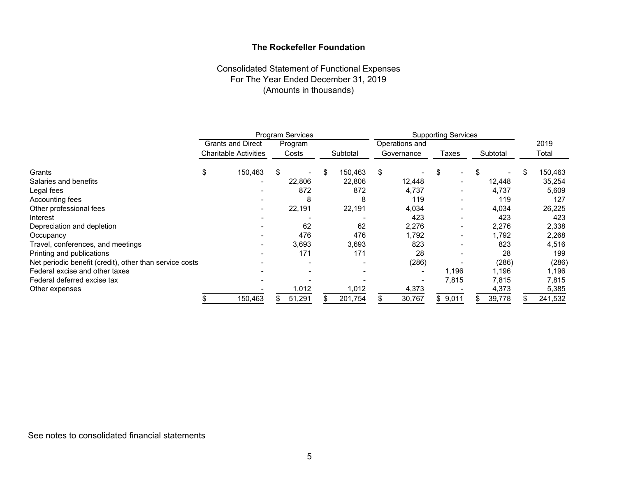# Consolidated Statement of Functional Expenses For The Year Ended December 31, 2019 (Amounts in thousands)

|                                                         | Program Services |                              |    |         |    |                | <b>Supporting Services</b> |                          |         |       |          |                          |       |         |
|---------------------------------------------------------|------------------|------------------------------|----|---------|----|----------------|----------------------------|--------------------------|---------|-------|----------|--------------------------|-------|---------|
|                                                         |                  | <b>Grants and Direct</b>     |    | Program |    | Operations and |                            |                          |         |       |          |                          | 2019  |         |
|                                                         |                  | <b>Charitable Activities</b> |    | Costs   |    | Subtotal       |                            | Governance               |         | Taxes | Subtotal |                          | Total |         |
| Grants                                                  | \$               | 150,463                      | \$ |         | \$ | 150,463        | \$.                        |                          | \$      | -     | S        | $\overline{\phantom{0}}$ | \$.   | 150,463 |
| Salaries and benefits                                   |                  | $\blacksquare$               |    | 22,806  |    | 22,806         |                            | 12,448                   |         |       |          | 12,448                   |       | 35,254  |
| Legal fees                                              |                  |                              |    | 872     |    | 872            |                            | 4,737                    |         |       |          | 4,737                    |       | 5,609   |
| Accounting fees                                         |                  |                              |    | 8       |    | 8              |                            | 119                      |         |       |          | 119                      |       | 127     |
| Other professional fees                                 |                  |                              |    | 22,191  |    | 22,191         |                            | 4,034                    |         |       |          | 4,034                    |       | 26,225  |
| Interest                                                |                  |                              |    |         |    |                |                            | 423                      |         |       |          | 423                      |       | 423     |
| Depreciation and depletion                              |                  |                              |    | 62      |    | 62             |                            | 2,276                    |         |       |          | 2,276                    |       | 2,338   |
| Occupancy                                               |                  |                              |    | 476     |    | 476            |                            | 1,792                    |         |       |          | 1,792                    |       | 2,268   |
| Travel, conferences, and meetings                       |                  | $\blacksquare$               |    | 3,693   |    | 3,693          |                            | 823                      |         |       |          | 823                      |       | 4,516   |
| Printing and publications                               |                  |                              |    | 171     |    | 171            |                            | 28                       |         |       |          | 28                       |       | 199     |
| Net periodic benefit (credit), other than service costs |                  |                              |    |         |    |                |                            | (286)                    |         |       |          | (286)                    |       | (286)   |
| Federal excise and other taxes                          |                  |                              |    |         |    |                |                            | $\overline{\phantom{a}}$ | 1,196   |       |          | 1,196                    |       | 1,196   |
| Federal deferred excise tax                             |                  |                              |    |         |    |                |                            |                          | 7,815   |       |          | 7,815                    |       | 7,815   |
| Other expenses                                          |                  |                              |    | 1,012   |    | 1,012          |                            | 4,373                    |         |       |          | 4,373                    |       | 5,385   |
|                                                         |                  | 150,463                      |    | 51,291  |    | 201,754        |                            | 30,767                   | \$9,011 |       |          | 39,778                   |       | 241,532 |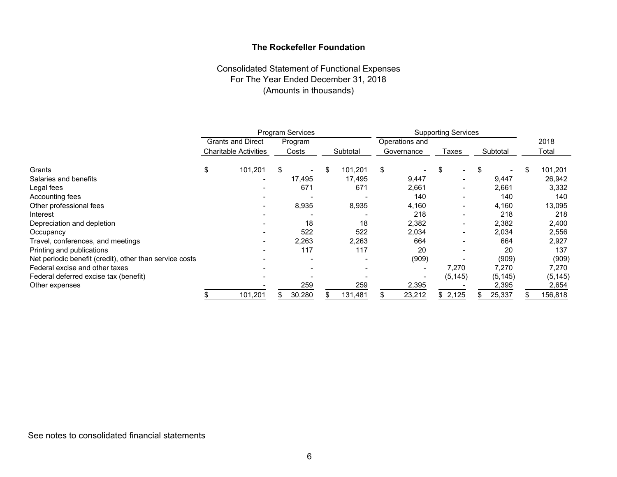# Consolidated Statement of Functional Expenses For The Year Ended December 31, 2018 (Amounts in thousands)

|                                                         | Program Services |                              |    |         |    |                | <b>Supporting Services</b> |                          |                                |    |          |               |
|---------------------------------------------------------|------------------|------------------------------|----|---------|----|----------------|----------------------------|--------------------------|--------------------------------|----|----------|---------------|
|                                                         |                  | <b>Grants and Direct</b>     |    | Program |    | Operations and |                            |                          |                                |    | 2018     |               |
|                                                         |                  | <b>Charitable Activities</b> |    | Costs   |    | Subtotal       |                            | Governance               | Taxes                          |    | Subtotal | Total         |
| Grants                                                  | \$               | 101,201                      | \$ |         | \$ | 101,201        | \$                         |                          | \$<br>$\overline{\phantom{0}}$ | \$ |          | \$<br>101,201 |
| Salaries and benefits                                   |                  | $\blacksquare$               |    | 17,495  |    | 17,495         |                            | 9,447                    |                                |    | 9,447    | 26,942        |
| Legal fees                                              |                  |                              |    | 671     |    | 671            |                            | 2,661                    |                                |    | 2,661    | 3,332         |
| Accounting fees                                         |                  |                              |    |         |    |                |                            | 140                      |                                |    | 140      | 140           |
| Other professional fees                                 |                  |                              |    | 8,935   |    | 8,935          |                            | 4,160                    |                                |    | 4,160    | 13,095        |
| Interest                                                |                  |                              |    |         |    |                |                            | 218                      |                                |    | 218      | 218           |
| Depreciation and depletion                              |                  |                              |    | 18      |    | 18             |                            | 2,382                    |                                |    | 2,382    | 2,400         |
| Occupancy                                               |                  |                              |    | 522     |    | 522            |                            | 2,034                    |                                |    | 2,034    | 2,556         |
| Travel, conferences, and meetings                       |                  |                              |    | 2,263   |    | 2,263          |                            | 664                      |                                |    | 664      | 2,927         |
| Printing and publications                               |                  |                              |    | 117     |    | 117            |                            | 20                       |                                |    | 20       | 137           |
| Net periodic benefit (credit), other than service costs |                  |                              |    |         |    |                |                            | (909)                    |                                |    | (909)    | (909)         |
| Federal excise and other taxes                          |                  |                              |    |         |    |                |                            | $\overline{\phantom{a}}$ | 7,270                          |    | 7,270    | 7,270         |
| Federal deferred excise tax (benefit)                   |                  |                              |    |         |    |                |                            |                          | (5, 145)                       |    | (5, 145) | (5, 145)      |
| Other expenses                                          |                  |                              |    | 259     |    | 259            |                            | 2,395                    |                                |    | 2,395    | 2,654         |
|                                                         |                  | 101,201                      |    | 30,280  | S. | 131,481        |                            | 23,212                   | \$2,125                        |    | 25,337   | 156,818       |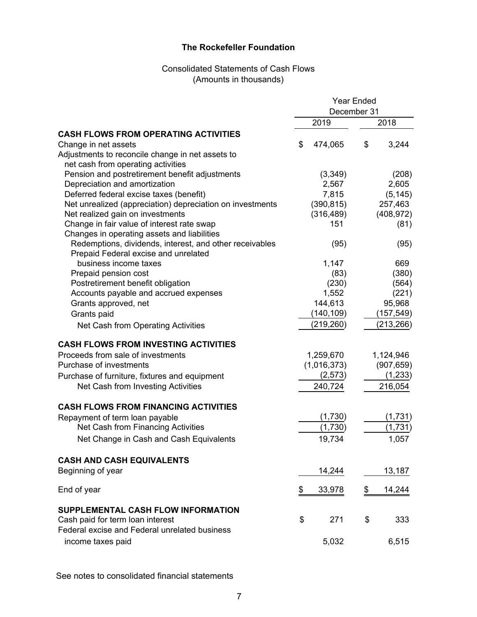# Consolidated Statements of Cash Flows (Amounts in thousands)

| December 31<br>2019<br>2018<br>474,065<br>\$<br>3,244<br>\$<br>net cash from operating activities<br>Pension and postretirement benefit adjustments<br>(3, 349)<br>(208)<br>Depreciation and amortization<br>2,567<br>2,605<br>Deferred federal excise taxes (benefit)<br>7,815<br>(5, 145)<br>(390, 815)<br>Net unrealized (appreciation) depreciation on investments<br>257,463<br>Net realized gain on investments<br>(316, 489)<br>(408, 972)<br>Change in fair value of interest rate swap<br>151<br>(81)<br>Changes in operating assets and liabilities<br>Redemptions, dividends, interest, and other receivables<br>(95)<br>(95)<br>Prepaid Federal excise and unrelated<br>business income taxes<br>1,147<br>669<br>(380)<br>Prepaid pension cost<br>(83)<br>Postretirement benefit obligation<br>(230)<br>(564)<br>Accounts payable and accrued expenses<br>1,552<br>(221)<br>144,613<br>Grants approved, net<br>95,968<br>(140, 109)<br>(157,549)<br>Grants paid<br>(219, 260)<br>(213, 266)<br>Net Cash from Operating Activities<br>1,259,670<br>1,124,946<br>(1,016,373)<br>(907, 659)<br>(1,233)<br>(2,573)<br>Purchase of furniture, fixtures and equipment<br>Net Cash from Investing Activities<br>240,724<br>216,054<br><b>CASH FLOWS FROM FINANCING ACTIVITIES</b><br>(1,731)<br>(1,730)<br>Repayment of term loan payable<br>Net Cash from Financing Activities<br>(1,731)<br>(1,730<br>Net Change in Cash and Cash Equivalents<br>19,734<br>1,057<br>Beginning of year<br>14,244<br>13,187<br>\$<br>33,978<br>14,244<br>\$ |                                                  |  | <b>Year Ended</b> |  |  |  |  |
|--------------------------------------------------------------------------------------------------------------------------------------------------------------------------------------------------------------------------------------------------------------------------------------------------------------------------------------------------------------------------------------------------------------------------------------------------------------------------------------------------------------------------------------------------------------------------------------------------------------------------------------------------------------------------------------------------------------------------------------------------------------------------------------------------------------------------------------------------------------------------------------------------------------------------------------------------------------------------------------------------------------------------------------------------------------------------------------------------------------------------------------------------------------------------------------------------------------------------------------------------------------------------------------------------------------------------------------------------------------------------------------------------------------------------------------------------------------------------------------------------------------------------------------------------|--------------------------------------------------|--|-------------------|--|--|--|--|
|                                                                                                                                                                                                                                                                                                                                                                                                                                                                                                                                                                                                                                                                                                                                                                                                                                                                                                                                                                                                                                                                                                                                                                                                                                                                                                                                                                                                                                                                                                                                                  |                                                  |  |                   |  |  |  |  |
|                                                                                                                                                                                                                                                                                                                                                                                                                                                                                                                                                                                                                                                                                                                                                                                                                                                                                                                                                                                                                                                                                                                                                                                                                                                                                                                                                                                                                                                                                                                                                  |                                                  |  |                   |  |  |  |  |
|                                                                                                                                                                                                                                                                                                                                                                                                                                                                                                                                                                                                                                                                                                                                                                                                                                                                                                                                                                                                                                                                                                                                                                                                                                                                                                                                                                                                                                                                                                                                                  | <b>CASH FLOWS FROM OPERATING ACTIVITIES</b>      |  |                   |  |  |  |  |
|                                                                                                                                                                                                                                                                                                                                                                                                                                                                                                                                                                                                                                                                                                                                                                                                                                                                                                                                                                                                                                                                                                                                                                                                                                                                                                                                                                                                                                                                                                                                                  | Change in net assets                             |  |                   |  |  |  |  |
|                                                                                                                                                                                                                                                                                                                                                                                                                                                                                                                                                                                                                                                                                                                                                                                                                                                                                                                                                                                                                                                                                                                                                                                                                                                                                                                                                                                                                                                                                                                                                  | Adjustments to reconcile change in net assets to |  |                   |  |  |  |  |
|                                                                                                                                                                                                                                                                                                                                                                                                                                                                                                                                                                                                                                                                                                                                                                                                                                                                                                                                                                                                                                                                                                                                                                                                                                                                                                                                                                                                                                                                                                                                                  |                                                  |  |                   |  |  |  |  |
|                                                                                                                                                                                                                                                                                                                                                                                                                                                                                                                                                                                                                                                                                                                                                                                                                                                                                                                                                                                                                                                                                                                                                                                                                                                                                                                                                                                                                                                                                                                                                  |                                                  |  |                   |  |  |  |  |
|                                                                                                                                                                                                                                                                                                                                                                                                                                                                                                                                                                                                                                                                                                                                                                                                                                                                                                                                                                                                                                                                                                                                                                                                                                                                                                                                                                                                                                                                                                                                                  |                                                  |  |                   |  |  |  |  |
|                                                                                                                                                                                                                                                                                                                                                                                                                                                                                                                                                                                                                                                                                                                                                                                                                                                                                                                                                                                                                                                                                                                                                                                                                                                                                                                                                                                                                                                                                                                                                  |                                                  |  |                   |  |  |  |  |
|                                                                                                                                                                                                                                                                                                                                                                                                                                                                                                                                                                                                                                                                                                                                                                                                                                                                                                                                                                                                                                                                                                                                                                                                                                                                                                                                                                                                                                                                                                                                                  |                                                  |  |                   |  |  |  |  |
|                                                                                                                                                                                                                                                                                                                                                                                                                                                                                                                                                                                                                                                                                                                                                                                                                                                                                                                                                                                                                                                                                                                                                                                                                                                                                                                                                                                                                                                                                                                                                  |                                                  |  |                   |  |  |  |  |
|                                                                                                                                                                                                                                                                                                                                                                                                                                                                                                                                                                                                                                                                                                                                                                                                                                                                                                                                                                                                                                                                                                                                                                                                                                                                                                                                                                                                                                                                                                                                                  |                                                  |  |                   |  |  |  |  |
|                                                                                                                                                                                                                                                                                                                                                                                                                                                                                                                                                                                                                                                                                                                                                                                                                                                                                                                                                                                                                                                                                                                                                                                                                                                                                                                                                                                                                                                                                                                                                  |                                                  |  |                   |  |  |  |  |
|                                                                                                                                                                                                                                                                                                                                                                                                                                                                                                                                                                                                                                                                                                                                                                                                                                                                                                                                                                                                                                                                                                                                                                                                                                                                                                                                                                                                                                                                                                                                                  |                                                  |  |                   |  |  |  |  |
|                                                                                                                                                                                                                                                                                                                                                                                                                                                                                                                                                                                                                                                                                                                                                                                                                                                                                                                                                                                                                                                                                                                                                                                                                                                                                                                                                                                                                                                                                                                                                  |                                                  |  |                   |  |  |  |  |
|                                                                                                                                                                                                                                                                                                                                                                                                                                                                                                                                                                                                                                                                                                                                                                                                                                                                                                                                                                                                                                                                                                                                                                                                                                                                                                                                                                                                                                                                                                                                                  |                                                  |  |                   |  |  |  |  |
|                                                                                                                                                                                                                                                                                                                                                                                                                                                                                                                                                                                                                                                                                                                                                                                                                                                                                                                                                                                                                                                                                                                                                                                                                                                                                                                                                                                                                                                                                                                                                  |                                                  |  |                   |  |  |  |  |
|                                                                                                                                                                                                                                                                                                                                                                                                                                                                                                                                                                                                                                                                                                                                                                                                                                                                                                                                                                                                                                                                                                                                                                                                                                                                                                                                                                                                                                                                                                                                                  |                                                  |  |                   |  |  |  |  |
|                                                                                                                                                                                                                                                                                                                                                                                                                                                                                                                                                                                                                                                                                                                                                                                                                                                                                                                                                                                                                                                                                                                                                                                                                                                                                                                                                                                                                                                                                                                                                  |                                                  |  |                   |  |  |  |  |
|                                                                                                                                                                                                                                                                                                                                                                                                                                                                                                                                                                                                                                                                                                                                                                                                                                                                                                                                                                                                                                                                                                                                                                                                                                                                                                                                                                                                                                                                                                                                                  |                                                  |  |                   |  |  |  |  |
|                                                                                                                                                                                                                                                                                                                                                                                                                                                                                                                                                                                                                                                                                                                                                                                                                                                                                                                                                                                                                                                                                                                                                                                                                                                                                                                                                                                                                                                                                                                                                  |                                                  |  |                   |  |  |  |  |
|                                                                                                                                                                                                                                                                                                                                                                                                                                                                                                                                                                                                                                                                                                                                                                                                                                                                                                                                                                                                                                                                                                                                                                                                                                                                                                                                                                                                                                                                                                                                                  |                                                  |  |                   |  |  |  |  |
|                                                                                                                                                                                                                                                                                                                                                                                                                                                                                                                                                                                                                                                                                                                                                                                                                                                                                                                                                                                                                                                                                                                                                                                                                                                                                                                                                                                                                                                                                                                                                  | <b>CASH FLOWS FROM INVESTING ACTIVITIES</b>      |  |                   |  |  |  |  |
|                                                                                                                                                                                                                                                                                                                                                                                                                                                                                                                                                                                                                                                                                                                                                                                                                                                                                                                                                                                                                                                                                                                                                                                                                                                                                                                                                                                                                                                                                                                                                  | Proceeds from sale of investments                |  |                   |  |  |  |  |
|                                                                                                                                                                                                                                                                                                                                                                                                                                                                                                                                                                                                                                                                                                                                                                                                                                                                                                                                                                                                                                                                                                                                                                                                                                                                                                                                                                                                                                                                                                                                                  | Purchase of investments                          |  |                   |  |  |  |  |
|                                                                                                                                                                                                                                                                                                                                                                                                                                                                                                                                                                                                                                                                                                                                                                                                                                                                                                                                                                                                                                                                                                                                                                                                                                                                                                                                                                                                                                                                                                                                                  |                                                  |  |                   |  |  |  |  |
|                                                                                                                                                                                                                                                                                                                                                                                                                                                                                                                                                                                                                                                                                                                                                                                                                                                                                                                                                                                                                                                                                                                                                                                                                                                                                                                                                                                                                                                                                                                                                  |                                                  |  |                   |  |  |  |  |
|                                                                                                                                                                                                                                                                                                                                                                                                                                                                                                                                                                                                                                                                                                                                                                                                                                                                                                                                                                                                                                                                                                                                                                                                                                                                                                                                                                                                                                                                                                                                                  |                                                  |  |                   |  |  |  |  |
|                                                                                                                                                                                                                                                                                                                                                                                                                                                                                                                                                                                                                                                                                                                                                                                                                                                                                                                                                                                                                                                                                                                                                                                                                                                                                                                                                                                                                                                                                                                                                  |                                                  |  |                   |  |  |  |  |
|                                                                                                                                                                                                                                                                                                                                                                                                                                                                                                                                                                                                                                                                                                                                                                                                                                                                                                                                                                                                                                                                                                                                                                                                                                                                                                                                                                                                                                                                                                                                                  |                                                  |  |                   |  |  |  |  |
|                                                                                                                                                                                                                                                                                                                                                                                                                                                                                                                                                                                                                                                                                                                                                                                                                                                                                                                                                                                                                                                                                                                                                                                                                                                                                                                                                                                                                                                                                                                                                  |                                                  |  |                   |  |  |  |  |
|                                                                                                                                                                                                                                                                                                                                                                                                                                                                                                                                                                                                                                                                                                                                                                                                                                                                                                                                                                                                                                                                                                                                                                                                                                                                                                                                                                                                                                                                                                                                                  |                                                  |  |                   |  |  |  |  |
|                                                                                                                                                                                                                                                                                                                                                                                                                                                                                                                                                                                                                                                                                                                                                                                                                                                                                                                                                                                                                                                                                                                                                                                                                                                                                                                                                                                                                                                                                                                                                  | <b>CASH AND CASH EQUIVALENTS</b>                 |  |                   |  |  |  |  |
|                                                                                                                                                                                                                                                                                                                                                                                                                                                                                                                                                                                                                                                                                                                                                                                                                                                                                                                                                                                                                                                                                                                                                                                                                                                                                                                                                                                                                                                                                                                                                  |                                                  |  |                   |  |  |  |  |
|                                                                                                                                                                                                                                                                                                                                                                                                                                                                                                                                                                                                                                                                                                                                                                                                                                                                                                                                                                                                                                                                                                                                                                                                                                                                                                                                                                                                                                                                                                                                                  | End of year                                      |  |                   |  |  |  |  |
|                                                                                                                                                                                                                                                                                                                                                                                                                                                                                                                                                                                                                                                                                                                                                                                                                                                                                                                                                                                                                                                                                                                                                                                                                                                                                                                                                                                                                                                                                                                                                  | SUPPLEMENTAL CASH FLOW INFORMATION               |  |                   |  |  |  |  |
| \$<br>333<br>271<br>\$                                                                                                                                                                                                                                                                                                                                                                                                                                                                                                                                                                                                                                                                                                                                                                                                                                                                                                                                                                                                                                                                                                                                                                                                                                                                                                                                                                                                                                                                                                                           | Cash paid for term loan interest                 |  |                   |  |  |  |  |
|                                                                                                                                                                                                                                                                                                                                                                                                                                                                                                                                                                                                                                                                                                                                                                                                                                                                                                                                                                                                                                                                                                                                                                                                                                                                                                                                                                                                                                                                                                                                                  | Federal excise and Federal unrelated business    |  |                   |  |  |  |  |
| income taxes paid<br>5,032<br>6,515                                                                                                                                                                                                                                                                                                                                                                                                                                                                                                                                                                                                                                                                                                                                                                                                                                                                                                                                                                                                                                                                                                                                                                                                                                                                                                                                                                                                                                                                                                              |                                                  |  |                   |  |  |  |  |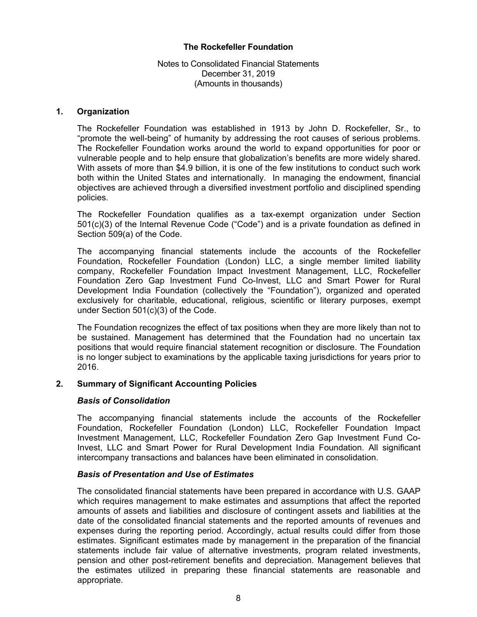Notes to Consolidated Financial Statements December 31, 2019 (Amounts in thousands)

#### **1. Organization**

 The Rockefeller Foundation was established in 1913 by John D. Rockefeller, Sr., to "promote the well-being" of humanity by addressing the root causes of serious problems. The Rockefeller Foundation works around the world to expand opportunities for poor or vulnerable people and to help ensure that globalization's benefits are more widely shared. With assets of more than \$4.9 billion, it is one of the few institutions to conduct such work both within the United States and internationally. In managing the endowment, financial objectives are achieved through a diversified investment portfolio and disciplined spending policies.

 The Rockefeller Foundation qualifies as a tax-exempt organization under Section 501(c)(3) of the Internal Revenue Code ("Code") and is a private foundation as defined in Section 509(a) of the Code.

 The accompanying financial statements include the accounts of the Rockefeller Foundation, Rockefeller Foundation (London) LLC, a single member limited liability company, Rockefeller Foundation Impact Investment Management, LLC, Rockefeller Foundation Zero Gap Investment Fund Co-Invest, LLC and Smart Power for Rural Development India Foundation (collectively the "Foundation"), organized and operated exclusively for charitable, educational, religious, scientific or literary purposes, exempt under Section 501(c)(3) of the Code.

 The Foundation recognizes the effect of tax positions when they are more likely than not to be sustained. Management has determined that the Foundation had no uncertain tax positions that would require financial statement recognition or disclosure. The Foundation is no longer subject to examinations by the applicable taxing jurisdictions for years prior to 2016.

#### **2. Summary of Significant Accounting Policies**

#### *Basis of Consolidation*

 The accompanying financial statements include the accounts of the Rockefeller Foundation, Rockefeller Foundation (London) LLC, Rockefeller Foundation Impact Investment Management, LLC, Rockefeller Foundation Zero Gap Investment Fund Co-Invest, LLC and Smart Power for Rural Development India Foundation. All significant intercompany transactions and balances have been eliminated in consolidation.

#### *Basis of Presentation and Use of Estimates*

 The consolidated financial statements have been prepared in accordance with U.S. GAAP which requires management to make estimates and assumptions that affect the reported amounts of assets and liabilities and disclosure of contingent assets and liabilities at the date of the consolidated financial statements and the reported amounts of revenues and expenses during the reporting period. Accordingly, actual results could differ from those estimates. Significant estimates made by management in the preparation of the financial statements include fair value of alternative investments, program related investments, pension and other post-retirement benefits and depreciation. Management believes that the estimates utilized in preparing these financial statements are reasonable and appropriate.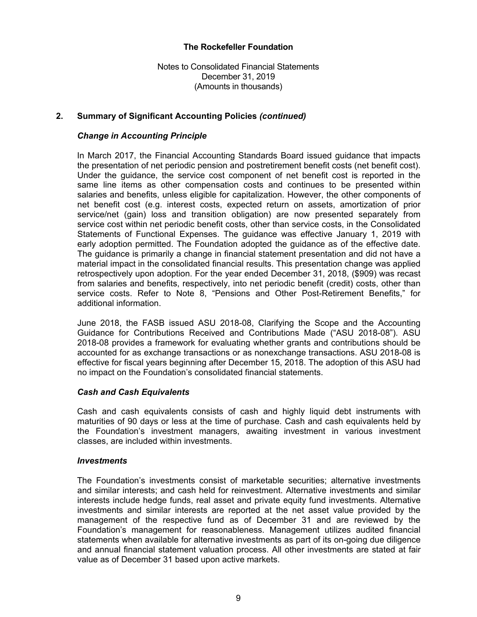Notes to Consolidated Financial Statements December 31, 2019 (Amounts in thousands)

# **2. Summary of Significant Accounting Policies** *(continued)*

# *Change in Accounting Principle*

 In March 2017, the Financial Accounting Standards Board issued guidance that impacts the presentation of net periodic pension and postretirement benefit costs (net benefit cost). Under the guidance, the service cost component of net benefit cost is reported in the same line items as other compensation costs and continues to be presented within salaries and benefits, unless eligible for capitalization. However, the other components of net benefit cost (e.g. interest costs, expected return on assets, amortization of prior service/net (gain) loss and transition obligation) are now presented separately from service cost within net periodic benefit costs, other than service costs, in the Consolidated Statements of Functional Expenses. The guidance was effective January 1, 2019 with early adoption permitted. The Foundation adopted the guidance as of the effective date. The guidance is primarily a change in financial statement presentation and did not have a material impact in the consolidated financial results. This presentation change was applied retrospectively upon adoption. For the year ended December 31, 2018, (\$909) was recast from salaries and benefits, respectively, into net periodic benefit (credit) costs, other than service costs. Refer to Note 8, "Pensions and Other Post-Retirement Benefits," for additional information.

 June 2018, the FASB issued ASU 2018-08, Clarifying the Scope and the Accounting Guidance for Contributions Received and Contributions Made ("ASU 2018-08"). ASU 2018-08 provides a framework for evaluating whether grants and contributions should be accounted for as exchange transactions or as nonexchange transactions. ASU 2018-08 is effective for fiscal years beginning after December 15, 2018. The adoption of this ASU had no impact on the Foundation's consolidated financial statements.

#### *Cash and Cash Equivalents*

 Cash and cash equivalents consists of cash and highly liquid debt instruments with maturities of 90 days or less at the time of purchase. Cash and cash equivalents held by the Foundation's investment managers, awaiting investment in various investment classes, are included within investments.

#### *Investments*

 The Foundation's investments consist of marketable securities; alternative investments and similar interests; and cash held for reinvestment. Alternative investments and similar interests include hedge funds, real asset and private equity fund investments. Alternative investments and similar interests are reported at the net asset value provided by the management of the respective fund as of December 31 and are reviewed by the Foundation's management for reasonableness. Management utilizes audited financial statements when available for alternative investments as part of its on-going due diligence and annual financial statement valuation process. All other investments are stated at fair value as of December 31 based upon active markets.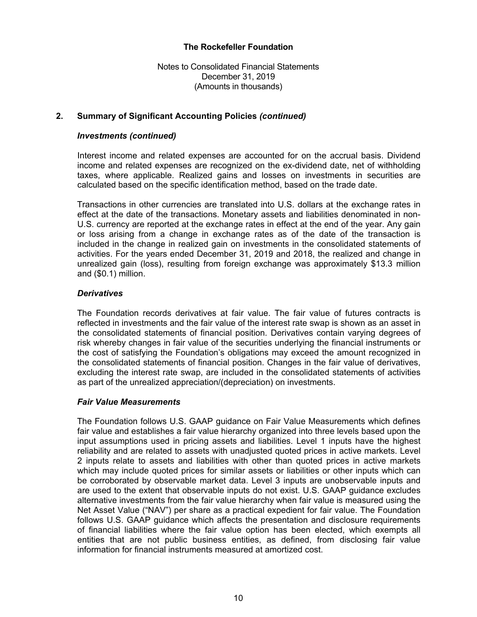Notes to Consolidated Financial Statements December 31, 2019 (Amounts in thousands)

# **2. Summary of Significant Accounting Policies** *(continued)*

#### *Investments (continued)*

 Interest income and related expenses are accounted for on the accrual basis. Dividend income and related expenses are recognized on the ex-dividend date, net of withholding taxes, where applicable. Realized gains and losses on investments in securities are calculated based on the specific identification method, based on the trade date.

 Transactions in other currencies are translated into U.S. dollars at the exchange rates in effect at the date of the transactions. Monetary assets and liabilities denominated in non-U.S. currency are reported at the exchange rates in effect at the end of the year. Any gain or loss arising from a change in exchange rates as of the date of the transaction is included in the change in realized gain on investments in the consolidated statements of activities. For the years ended December 31, 2019 and 2018, the realized and change in unrealized gain (loss), resulting from foreign exchange was approximately \$13.3 million and (\$0.1) million.

# *Derivatives*

 The Foundation records derivatives at fair value. The fair value of futures contracts is reflected in investments and the fair value of the interest rate swap is shown as an asset in the consolidated statements of financial position. Derivatives contain varying degrees of risk whereby changes in fair value of the securities underlying the financial instruments or the cost of satisfying the Foundation's obligations may exceed the amount recognized in the consolidated statements of financial position. Changes in the fair value of derivatives, excluding the interest rate swap, are included in the consolidated statements of activities as part of the unrealized appreciation/(depreciation) on investments.

#### *Fair Value Measurements*

 The Foundation follows U.S. GAAP guidance on Fair Value Measurements which defines fair value and establishes a fair value hierarchy organized into three levels based upon the input assumptions used in pricing assets and liabilities. Level 1 inputs have the highest reliability and are related to assets with unadjusted quoted prices in active markets. Level 2 inputs relate to assets and liabilities with other than quoted prices in active markets which may include quoted prices for similar assets or liabilities or other inputs which can be corroborated by observable market data. Level 3 inputs are unobservable inputs and are used to the extent that observable inputs do not exist. U.S. GAAP guidance excludes alternative investments from the fair value hierarchy when fair value is measured using the Net Asset Value ("NAV") per share as a practical expedient for fair value. The Foundation follows U.S. GAAP guidance which affects the presentation and disclosure requirements of financial liabilities where the fair value option has been elected, which exempts all entities that are not public business entities, as defined, from disclosing fair value information for financial instruments measured at amortized cost.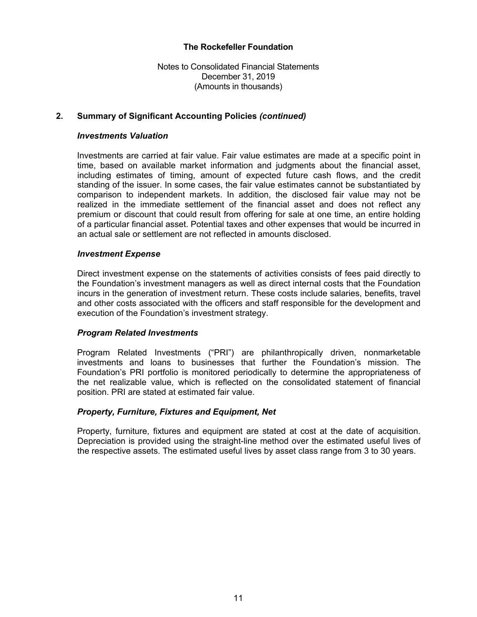Notes to Consolidated Financial Statements December 31, 2019 (Amounts in thousands)

# **2. Summary of Significant Accounting Policies** *(continued)*

#### *Investments Valuation*

 Investments are carried at fair value. Fair value estimates are made at a specific point in time, based on available market information and judgments about the financial asset, including estimates of timing, amount of expected future cash flows, and the credit standing of the issuer. In some cases, the fair value estimates cannot be substantiated by comparison to independent markets. In addition, the disclosed fair value may not be realized in the immediate settlement of the financial asset and does not reflect any premium or discount that could result from offering for sale at one time, an entire holding of a particular financial asset. Potential taxes and other expenses that would be incurred in an actual sale or settlement are not reflected in amounts disclosed.

# *Investment Expense*

 Direct investment expense on the statements of activities consists of fees paid directly to the Foundation's investment managers as well as direct internal costs that the Foundation incurs in the generation of investment return. These costs include salaries, benefits, travel and other costs associated with the officers and staff responsible for the development and execution of the Foundation's investment strategy.

#### *Program Related Investments*

Program Related Investments ("PRI") are philanthropically driven, nonmarketable investments and loans to businesses that further the Foundation's mission. The Foundation's PRI portfolio is monitored periodically to determine the appropriateness of the net realizable value, which is reflected on the consolidated statement of financial position. PRI are stated at estimated fair value.

#### *Property, Furniture, Fixtures and Equipment, Net*

 Property, furniture, fixtures and equipment are stated at cost at the date of acquisition. Depreciation is provided using the straight-line method over the estimated useful lives of the respective assets. The estimated useful lives by asset class range from 3 to 30 years.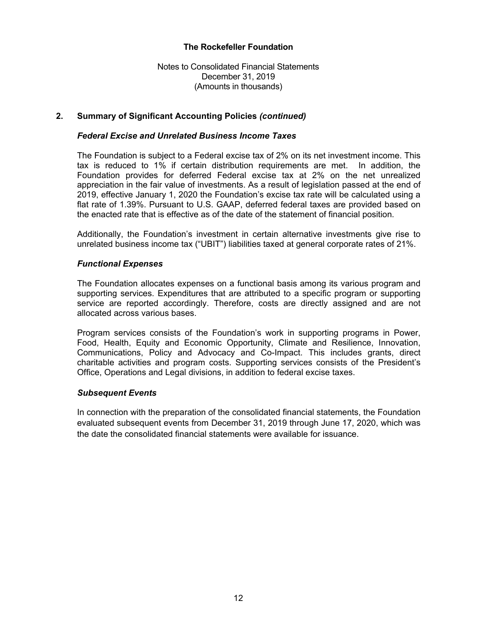Notes to Consolidated Financial Statements December 31, 2019 (Amounts in thousands)

# **2. Summary of Significant Accounting Policies** *(continued)*

#### *Federal Excise and Unrelated Business Income Taxes*

The Foundation is subject to a Federal excise tax of 2% on its net investment income. This tax is reduced to 1% if certain distribution requirements are met. In addition, the Foundation provides for deferred Federal excise tax at 2% on the net unrealized appreciation in the fair value of investments. As a result of legislation passed at the end of 2019, effective January 1, 2020 the Foundation's excise tax rate will be calculated using a flat rate of 1.39%. Pursuant to U.S. GAAP, deferred federal taxes are provided based on the enacted rate that is effective as of the date of the statement of financial position.

Additionally, the Foundation's investment in certain alternative investments give rise to unrelated business income tax ("UBIT") liabilities taxed at general corporate rates of 21%.

#### *Functional Expenses*

The Foundation allocates expenses on a functional basis among its various program and supporting services. Expenditures that are attributed to a specific program or supporting service are reported accordingly. Therefore, costs are directly assigned and are not allocated across various bases.

Program services consists of the Foundation's work in supporting programs in Power, Food, Health, Equity and Economic Opportunity, Climate and Resilience, Innovation, Communications, Policy and Advocacy and Co-Impact. This includes grants, direct charitable activities and program costs. Supporting services consists of the President's Office, Operations and Legal divisions, in addition to federal excise taxes.

#### *Subsequent Events*

In connection with the preparation of the consolidated financial statements, the Foundation evaluated subsequent events from December 31, 2019 through June 17, 2020, which was the date the consolidated financial statements were available for issuance.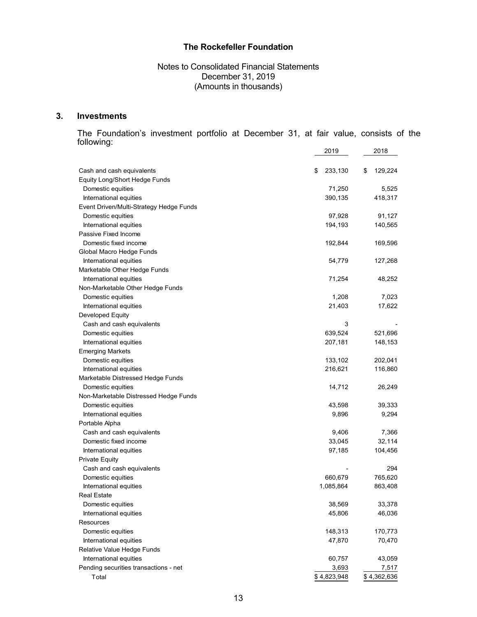Notes to Consolidated Financial Statements December 31, 2019 (Amounts in thousands)

# **3. Investments**

The Foundation's investment portfolio at December 31, at fair value, consists of the following: 2019 2018

|                                         | 2019          | 2018          |
|-----------------------------------------|---------------|---------------|
|                                         |               |               |
| Cash and cash equivalents               | \$<br>233,130 | \$<br>129,224 |
| Equity Long/Short Hedge Funds           |               |               |
| Domestic equities                       | 71,250        | 5,525         |
| International equities                  | 390,135       | 418,317       |
| Event Driven/Multi-Strategy Hedge Funds |               |               |
| Domestic equities                       | 97,928        | 91,127        |
| International equities                  | 194,193       | 140,565       |
| Passive Fixed Income                    |               |               |
| Domestic fixed income                   | 192,844       | 169,596       |
| Global Macro Hedge Funds                |               |               |
| International equities                  | 54,779        | 127,268       |
| Marketable Other Hedge Funds            |               |               |
| International equities                  | 71,254        | 48,252        |
| Non-Marketable Other Hedge Funds        |               |               |
| Domestic equities                       | 1,208         | 7,023         |
| International equities                  | 21,403        | 17,622        |
| Developed Equity                        |               |               |
| Cash and cash equivalents               | 3             |               |
| Domestic equities                       | 639,524       | 521,696       |
| International equities                  | 207,181       | 148,153       |
| <b>Emerging Markets</b>                 |               |               |
| Domestic equities                       | 133,102       | 202,041       |
| International equities                  | 216,621       | 116,860       |
| Marketable Distressed Hedge Funds       |               |               |
| Domestic equities                       | 14,712        | 26,249        |
| Non-Marketable Distressed Hedge Funds   |               |               |
| Domestic equities                       | 43,598        | 39,333        |
| International equities                  | 9,896         | 9,294         |
| Portable Alpha                          |               |               |
| Cash and cash equivalents               | 9,406         | 7,366         |
| Domestic fixed income                   | 33,045        | 32,114        |
| International equities                  | 97,185        | 104,456       |
| <b>Private Equity</b>                   |               |               |
| Cash and cash equivalents               |               | 294           |
| Domestic equities                       | 660,679       | 765,620       |
| International equities                  | 1,085,864     | 863,408       |
| <b>Real Estate</b>                      |               |               |
| Domestic equities                       | 38,569        | 33,378        |
| International equities                  | 45,806        | 46,036        |
| Resources                               |               |               |
| Domestic equities                       | 148,313       | 170,773       |
| International equities                  | 47,870        | 70,470        |
| Relative Value Hedge Funds              |               |               |
| International equities                  | 60,757        | 43,059        |
| Pending securities transactions - net   | 3,693         | 7,517         |
| Total                                   | \$4,823,948   | \$4,362,636   |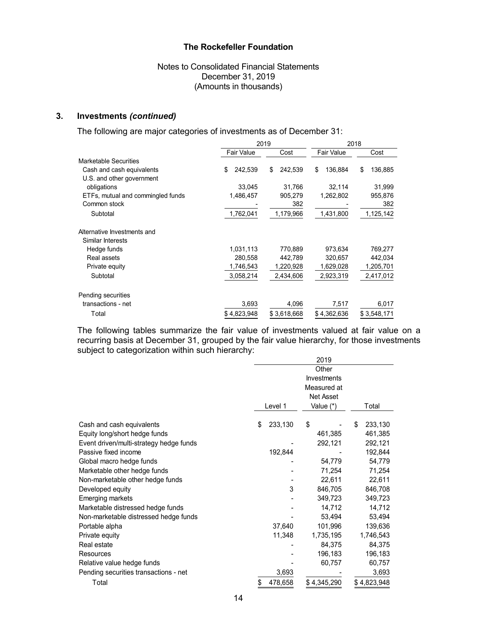#### Notes to Consolidated Financial Statements December 31, 2019 (Amounts in thousands)

# **3. Investments** *(continued)*

The following are major categories of investments as of December 31:

|                                   |                   | 2019          | 2018              |               |  |  |  |
|-----------------------------------|-------------------|---------------|-------------------|---------------|--|--|--|
|                                   | <b>Fair Value</b> | Cost          | <b>Fair Value</b> | Cost          |  |  |  |
| <b>Marketable Securities</b>      |                   |               |                   |               |  |  |  |
| Cash and cash equivalents         | 242,539<br>\$     | 242,539<br>\$ | \$<br>136,884     | 136,885<br>\$ |  |  |  |
| U.S. and other government         |                   |               |                   |               |  |  |  |
| obligations                       | 33,045            | 31,766        | 32,114            | 31,999        |  |  |  |
| ETFs, mutual and commingled funds | 1,486,457         | 905,279       | 1,262,802         | 955,876       |  |  |  |
| Common stock                      |                   | 382           |                   | 382           |  |  |  |
| Subtotal                          | 1,762,041         | 1,179,966     | 1,431,800         | 1,125,142     |  |  |  |
| Alternative Investments and       |                   |               |                   |               |  |  |  |
| Similar Interests                 |                   |               |                   |               |  |  |  |
| Hedge funds                       | 1,031,113         | 770,889       | 973,634           | 769,277       |  |  |  |
| Real assets                       | 280,558           | 442,789       | 320,657           | 442,034       |  |  |  |
| Private equity                    | 1,746,543         | 1,220,928     | 1,629,028         | 1,205,701     |  |  |  |
| Subtotal                          | 3,058,214         | 2,434,606     | 2,923,319         | 2,417,012     |  |  |  |
| Pending securities                |                   |               |                   |               |  |  |  |
| transactions - net                | 3,693             | 4,096         | 7,517             | 6,017         |  |  |  |
| Total                             | \$4,823,948       | \$3,618,668   | \$4,362,636       | \$3,548,171   |  |  |  |

The following tables summarize the fair value of investments valued at fair value on a recurring basis at December 31, grouped by the fair value hierarchy, for those investments subject to categorization within such hierarchy:

|                                         | 2019          |             |              |  |  |  |  |  |  |
|-----------------------------------------|---------------|-------------|--------------|--|--|--|--|--|--|
|                                         |               | Other       |              |  |  |  |  |  |  |
|                                         |               | Investments |              |  |  |  |  |  |  |
|                                         |               | Measured at |              |  |  |  |  |  |  |
|                                         |               | Net Asset   |              |  |  |  |  |  |  |
|                                         | Level 1       | Value (*)   | Total        |  |  |  |  |  |  |
| Cash and cash equivalents               | 233,130<br>\$ | \$          | 233,130<br>S |  |  |  |  |  |  |
| Equity long/short hedge funds           |               | 461,385     | 461,385      |  |  |  |  |  |  |
| Event driven/multi-strategy hedge funds |               | 292,121     | 292,121      |  |  |  |  |  |  |
| Passive fixed income                    | 192,844       |             | 192,844      |  |  |  |  |  |  |
| Global macro hedge funds                |               | 54,779      | 54,779       |  |  |  |  |  |  |
| Marketable other hedge funds            |               | 71,254      | 71,254       |  |  |  |  |  |  |
| Non-marketable other hedge funds        |               | 22,611      | 22,611       |  |  |  |  |  |  |
| Developed equity                        | 3             | 846,705     | 846,708      |  |  |  |  |  |  |
| <b>Emerging markets</b>                 |               | 349,723     | 349,723      |  |  |  |  |  |  |
| Marketable distressed hedge funds       |               | 14,712      | 14,712       |  |  |  |  |  |  |
| Non-marketable distressed hedge funds   |               | 53,494      | 53,494       |  |  |  |  |  |  |
| Portable alpha                          | 37,640        | 101,996     | 139,636      |  |  |  |  |  |  |
| Private equity                          | 11,348        | 1,735,195   | 1,746,543    |  |  |  |  |  |  |
| Real estate                             |               | 84,375      | 84,375       |  |  |  |  |  |  |
| Resources                               |               | 196,183     | 196,183      |  |  |  |  |  |  |
| Relative value hedge funds              |               | 60,757      | 60,757       |  |  |  |  |  |  |
| Pending securities transactions - net   | 3,693         |             | 3,693        |  |  |  |  |  |  |
| Total                                   | \$<br>478,658 | \$4,345,290 | \$4,823,948  |  |  |  |  |  |  |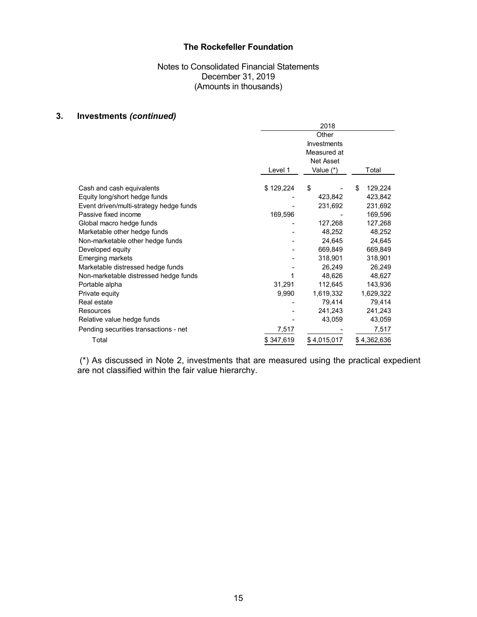# Notes to Consolidated Financial Statements December 31, 2019 (Amounts in thousands)

# **3. Investments** *(continued)*

|                                         | 2018      |                    |               |  |  |  |  |
|-----------------------------------------|-----------|--------------------|---------------|--|--|--|--|
|                                         |           | Other              |               |  |  |  |  |
|                                         |           | <b>Investments</b> |               |  |  |  |  |
|                                         |           | Measured at        |               |  |  |  |  |
|                                         |           | <b>Net Asset</b>   |               |  |  |  |  |
|                                         | Level 1   | Value (*)          | Total         |  |  |  |  |
| Cash and cash equivalents               | \$129,224 | \$                 | \$<br>129,224 |  |  |  |  |
| Equity long/short hedge funds           |           | 423,842            | 423,842       |  |  |  |  |
| Event driven/multi-strategy hedge funds |           | 231,692            | 231,692       |  |  |  |  |
| Passive fixed income                    | 169,596   |                    | 169,596       |  |  |  |  |
| Global macro hedge funds                |           | 127,268            | 127,268       |  |  |  |  |
| Marketable other hedge funds            |           | 48,252             | 48,252        |  |  |  |  |
| Non-marketable other hedge funds        |           | 24,645             | 24,645        |  |  |  |  |
| Developed equity                        |           | 669,849            | 669,849       |  |  |  |  |
| <b>Emerging markets</b>                 |           | 318,901            | 318,901       |  |  |  |  |
| Marketable distressed hedge funds       |           | 26,249             | 26,249        |  |  |  |  |
| Non-marketable distressed hedge funds   | 1         | 48,626             | 48,627        |  |  |  |  |
| Portable alpha                          | 31,291    | 112,645            | 143,936       |  |  |  |  |
| Private equity                          | 9,990     | 1,619,332          | 1,629,322     |  |  |  |  |
| Real estate                             |           | 79,414             | 79,414        |  |  |  |  |
| Resources                               |           | 241,243            | 241,243       |  |  |  |  |
| Relative value hedge funds              |           | 43,059             | 43,059        |  |  |  |  |
| Pending securities transactions - net   | 7,517     |                    | 7,517         |  |  |  |  |
| Total                                   | \$347,619 | \$4,015,017        | \$4,362,636   |  |  |  |  |

 (\*) As discussed in Note 2, investments that are measured using the practical expedient  $\overrightarrow{a}$  not classified within the fair value hierarchy.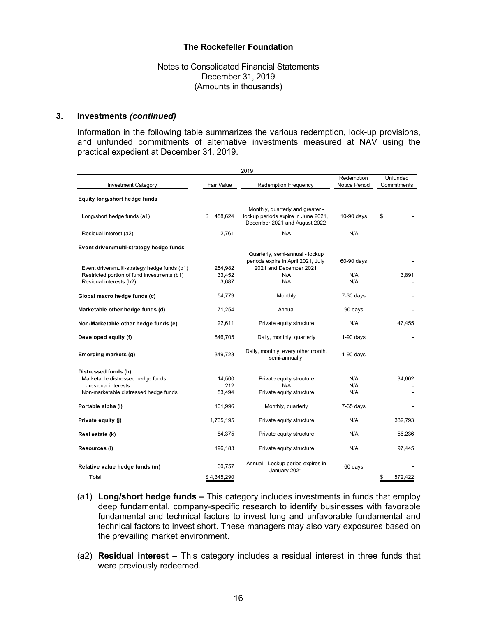#### Notes to Consolidated Financial Statements December 31, 2019 (Amounts in thousands)

#### **3. Investments** *(continued)*

Information in the following table summarizes the various redemption, lock-up provisions, and unfunded commitments of alternative investments measured at NAV using the practical expedient at December 31, 2019.

|                                                                                                                            |                            | 2019                                                                                                     |                             |                         |  |  |
|----------------------------------------------------------------------------------------------------------------------------|----------------------------|----------------------------------------------------------------------------------------------------------|-----------------------------|-------------------------|--|--|
| <b>Investment Category</b>                                                                                                 | Fair Value                 | <b>Redemption Frequency</b>                                                                              | Redemption<br>Notice Period | Unfunded<br>Commitments |  |  |
| Equity long/short hedge funds                                                                                              |                            |                                                                                                          |                             |                         |  |  |
| Long/short hedge funds (a1)                                                                                                | 458.624<br>\$              | Monthly, quarterly and greater -<br>lockup periods expire in June 2021,<br>December 2021 and August 2022 | 10-90 days                  | \$                      |  |  |
| Residual interest (a2)                                                                                                     | 2,761                      | N/A                                                                                                      | N/A                         |                         |  |  |
| Event driven/multi-strategy hedge funds                                                                                    |                            | Quarterly, semi-annual - lockup<br>periods expire in April 2021, July                                    | 60-90 days                  |                         |  |  |
| Event driven/multi-strategy hedge funds (b1)<br>Restricted portion of fund investments (b1)<br>Residual interests (b2)     | 254,982<br>33,452<br>3,687 | 2021 and December 2021<br>N/A<br>N/A                                                                     | N/A<br>N/A                  | 3.891                   |  |  |
| Global macro hedge funds (c)                                                                                               | 54,779                     | Monthly                                                                                                  | $7-30$ days                 |                         |  |  |
| Marketable other hedge funds (d)                                                                                           | 71,254                     | Annual                                                                                                   | 90 days                     |                         |  |  |
| Non-Marketable other hedge funds (e)                                                                                       | 22,611                     | Private equity structure                                                                                 |                             | 47,455                  |  |  |
| Developed equity (f)                                                                                                       | 846,705                    | Daily, monthly, quarterly                                                                                | $1-90$ days                 |                         |  |  |
| Emerging markets (g)                                                                                                       | 349,723                    | Daily, monthly, every other month,<br>semi-annually                                                      | $1-90$ days                 |                         |  |  |
| Distressed funds (h)<br>Marketable distressed hedge funds<br>- residual interests<br>Non-marketable distressed hedge funds | 14,500<br>212<br>53,494    | Private equity structure<br>N/A<br>Private equity structure                                              | N/A<br>N/A<br>N/A           | 34,602                  |  |  |
| Portable alpha (i)                                                                                                         | 101,996                    | Monthly, quarterly                                                                                       | 7-65 days                   |                         |  |  |
| Private equity (j)                                                                                                         | 1,735,195                  | Private equity structure                                                                                 | N/A                         | 332,793                 |  |  |
| Real estate (k)                                                                                                            | 84,375                     | Private equity structure                                                                                 | N/A                         | 56,236                  |  |  |
| Resources (I)                                                                                                              | 196,183                    | Private equity structure                                                                                 | N/A                         | 97,445                  |  |  |
| Relative value hedge funds (m)<br>Total                                                                                    | 60,757<br>\$4,345,290      | Annual - Lockup period expires in<br>January 2021                                                        | 60 days                     | \$<br>572.422           |  |  |

- (a1) **Long/short hedge funds –** This category includes investments in funds that employ deep fundamental, company-specific research to identify businesses with favorable fundamental and technical factors to invest long and unfavorable fundamental and technical factors to invest short. These managers may also vary exposures based on the prevailing market environment.
- (a2) **Residual interest** This category includes a residual interest in three funds that were previously redeemed.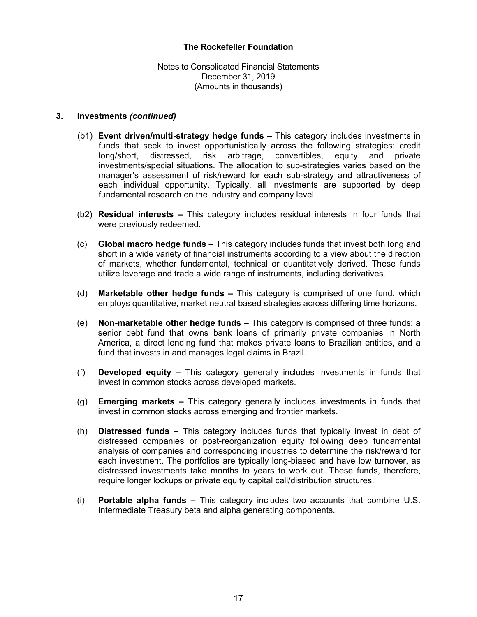Notes to Consolidated Financial Statements December 31, 2019 (Amounts in thousands)

#### **3. Investments** *(continued)*

- (b1) **Event driven/multi-strategy hedge funds –** This category includes investments in funds that seek to invest opportunistically across the following strategies: credit long/short, distressed, risk arbitrage, convertibles, equity and private investments/special situations. The allocation to sub-strategies varies based on the manager's assessment of risk/reward for each sub-strategy and attractiveness of each individual opportunity. Typically, all investments are supported by deep fundamental research on the industry and company level.
- (b2) **Residual interests** This category includes residual interests in four funds that were previously redeemed.
- (c) **Global macro hedge funds**  This category includes funds that invest both long and short in a wide variety of financial instruments according to a view about the direction of markets, whether fundamental, technical or quantitatively derived. These funds utilize leverage and trade a wide range of instruments, including derivatives.
- (d) **Marketable other hedge funds –** This category is comprised of one fund, which employs quantitative, market neutral based strategies across differing time horizons.
- (e) **Non-marketable other hedge funds** This category is comprised of three funds: a senior debt fund that owns bank loans of primarily private companies in North America, a direct lending fund that makes private loans to Brazilian entities, and a fund that invests in and manages legal claims in Brazil.
- (f) **Developed equity –** This category generally includes investments in funds that invest in common stocks across developed markets.
- (g) **Emerging markets –** This category generally includes investments in funds that invest in common stocks across emerging and frontier markets.
- (h) **Distressed funds –** This category includes funds that typically invest in debt of distressed companies or post-reorganization equity following deep fundamental analysis of companies and corresponding industries to determine the risk/reward for each investment. The portfolios are typically long-biased and have low turnover, as distressed investments take months to years to work out. These funds, therefore, require longer lockups or private equity capital call/distribution structures.
- (i) **Portable alpha funds –** This category includes two accounts that combine U.S. Intermediate Treasury beta and alpha generating components.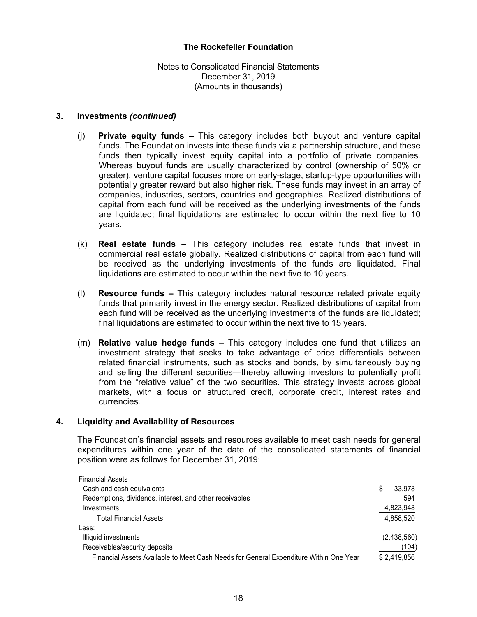Notes to Consolidated Financial Statements December 31, 2019 (Amounts in thousands)

#### **3. Investments** *(continued)*

- (j) **Private equity funds –** This category includes both buyout and venture capital funds. The Foundation invests into these funds via a partnership structure, and these funds then typically invest equity capital into a portfolio of private companies. Whereas buyout funds are usually characterized by control (ownership of 50% or greater), venture capital focuses more on early-stage, startup-type opportunities with potentially greater reward but also higher risk. These funds may invest in an array of companies, industries, sectors, countries and geographies. Realized distributions of capital from each fund will be received as the underlying investments of the funds are liquidated; final liquidations are estimated to occur within the next five to 10 years.
- (k) **Real estate funds –** This category includes real estate funds that invest in commercial real estate globally. Realized distributions of capital from each fund will be received as the underlying investments of the funds are liquidated. Final liquidations are estimated to occur within the next five to 10 years.
- (l) **Resource funds –** This category includes natural resource related private equity funds that primarily invest in the energy sector. Realized distributions of capital from each fund will be received as the underlying investments of the funds are liquidated; final liquidations are estimated to occur within the next five to 15 years.
- (m) **Relative value hedge funds** This category includes one fund that utilizes an investment strategy that seeks to take advantage of price differentials between related financial instruments, such as stocks and bonds, by simultaneously buying and selling the different securities—thereby allowing investors to potentially profit from the "relative value" of the two securities. This strategy invests across global markets, with a focus on structured credit, corporate credit, interest rates and currencies.

# **4. Liquidity and Availability of Resources**

The Foundation's financial assets and resources available to meet cash needs for general expenditures within one year of the date of the consolidated statements of financial position were as follows for December 31, 2019:

| Financial Assets                                                                      |              |
|---------------------------------------------------------------------------------------|--------------|
| Cash and cash equivalents                                                             | \$<br>33,978 |
| Redemptions, dividends, interest, and other receivables                               | 594          |
| <b>Investments</b>                                                                    | 4,823,948    |
| <b>Total Financial Assets</b>                                                         | 4,858,520    |
| Less:                                                                                 |              |
| Illiquid investments                                                                  | (2,438,560)  |
| Receivables/security deposits                                                         | (104)        |
| Financial Assets Available to Meet Cash Needs for General Expenditure Within One Year | \$2,419,856  |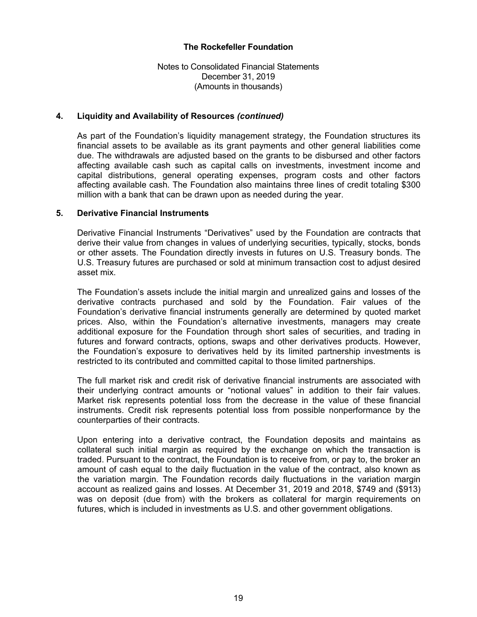Notes to Consolidated Financial Statements December 31, 2019 (Amounts in thousands)

#### **4. Liquidity and Availability of Resources** *(continued)*

 As part of the Foundation's liquidity management strategy, the Foundation structures its financial assets to be available as its grant payments and other general liabilities come due. The withdrawals are adjusted based on the grants to be disbursed and other factors affecting available cash such as capital calls on investments, investment income and capital distributions, general operating expenses, program costs and other factors affecting available cash. The Foundation also maintains three lines of credit totaling \$300 million with a bank that can be drawn upon as needed during the year.

#### **5. Derivative Financial Instruments**

 Derivative Financial Instruments "Derivatives" used by the Foundation are contracts that derive their value from changes in values of underlying securities, typically, stocks, bonds or other assets. The Foundation directly invests in futures on U.S. Treasury bonds. The U.S. Treasury futures are purchased or sold at minimum transaction cost to adjust desired asset mix.

 The Foundation's assets include the initial margin and unrealized gains and losses of the derivative contracts purchased and sold by the Foundation. Fair values of the Foundation's derivative financial instruments generally are determined by quoted market prices. Also, within the Foundation's alternative investments, managers may create additional exposure for the Foundation through short sales of securities, and trading in futures and forward contracts, options, swaps and other derivatives products. However, the Foundation's exposure to derivatives held by its limited partnership investments is restricted to its contributed and committed capital to those limited partnerships.

 The full market risk and credit risk of derivative financial instruments are associated with their underlying contract amounts or "notional values" in addition to their fair values. Market risk represents potential loss from the decrease in the value of these financial instruments. Credit risk represents potential loss from possible nonperformance by the counterparties of their contracts.

 Upon entering into a derivative contract, the Foundation deposits and maintains as collateral such initial margin as required by the exchange on which the transaction is traded. Pursuant to the contract, the Foundation is to receive from, or pay to, the broker an amount of cash equal to the daily fluctuation in the value of the contract, also known as the variation margin. The Foundation records daily fluctuations in the variation margin account as realized gains and losses. At December 31, 2019 and 2018, \$749 and (\$913) was on deposit (due from) with the brokers as collateral for margin requirements on futures, which is included in investments as U.S. and other government obligations.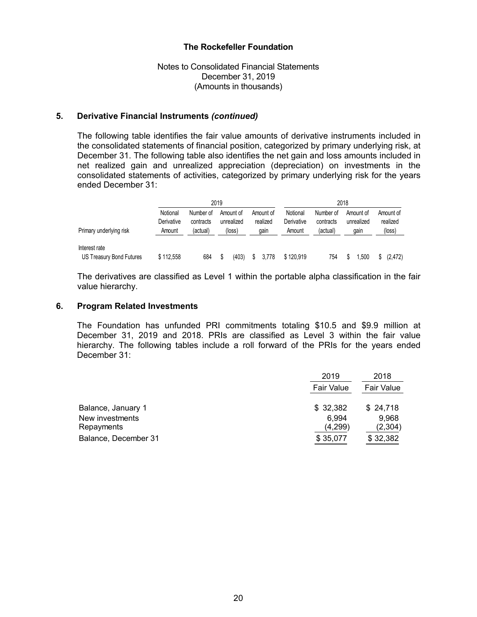# Notes to Consolidated Financial Statements December 31, 2019 (Amounts in thousands)

# **5. Derivative Financial Instruments** *(continued)*

The following table identifies the fair value amounts of derivative instruments included in the consolidated statements of financial position, categorized by primary underlying risk, at December 31. The following table also identifies the net gain and loss amounts included in net realized gain and unrealized appreciation (depreciation) on investments in the consolidated statements of activities, categorized by primary underlying risk for the years ended December 31:

|                                           |                                  | 2019                               | 2018                              |   |                               |                                  |                                    |                                 |       |    |                                 |
|-------------------------------------------|----------------------------------|------------------------------------|-----------------------------------|---|-------------------------------|----------------------------------|------------------------------------|---------------------------------|-------|----|---------------------------------|
| Primary underlying risk                   | Notional<br>Derivative<br>Amount | Number of<br>contracts<br>(actual) | Amount of<br>unrealized<br>(loss) |   | Amount of<br>realized<br>qain | Notional<br>Derivative<br>Amount | Number of<br>contracts<br>(actual) | Amount of<br>unrealized<br>gain |       |    | Amount of<br>realized<br>(loss) |
| Interest rate<br>US Treasury Bond Futures | \$112.558                        | 684                                | (403)                             | S | 3,778                         | \$120.919                        | 754                                | S                               | 1.500 | S. | (2, 472)                        |

The derivatives are classified as Level 1 within the portable alpha classification in the fair value hierarchy.

#### **6. Program Related Investments**

The Foundation has unfunded PRI commitments totaling \$10.5 and \$9.9 million at December 31, 2019 and 2018. PRIs are classified as Level 3 within the fair value hierarchy. The following tables include a roll forward of the PRIs for the years ended December 31:

|                               | 2019              | 2018              |
|-------------------------------|-------------------|-------------------|
|                               | <b>Fair Value</b> | <b>Fair Value</b> |
| Balance, January 1            | \$32,382          | \$24,718          |
| New investments<br>Repayments | 6.994<br>(4,299)  | 9,968<br>(2,304)  |
| Balance, December 31          | \$35,077          | \$32,382          |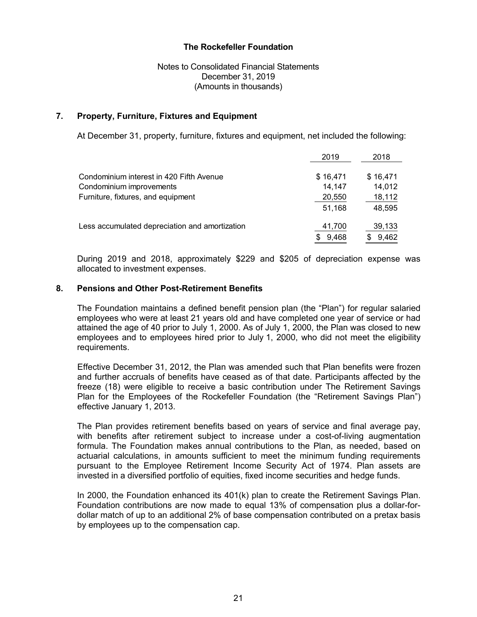Notes to Consolidated Financial Statements December 31, 2019 (Amounts in thousands)

# **7. Property, Furniture, Fixtures and Equipment**

At December 31, property, furniture, fixtures and equipment, net included the following:

|                                                | 2019       | 2018     |
|------------------------------------------------|------------|----------|
|                                                |            |          |
| Condominium interest in 420 Fifth Avenue       | \$16,471   | \$16,471 |
| Condominium improvements                       | 14,147     | 14,012   |
| Furniture, fixtures, and equipment             | 20,550     | 18,112   |
|                                                | 51,168     | 48,595   |
| Less accumulated depreciation and amortization | 41,700     | 39,133   |
|                                                | 9,468<br>S | 9,462    |

During 2019 and 2018, approximately \$229 and \$205 of depreciation expense was allocated to investment expenses.

#### **8. Pensions and Other Post-Retirement Benefits**

The Foundation maintains a defined benefit pension plan (the "Plan") for regular salaried employees who were at least 21 years old and have completed one year of service or had attained the age of 40 prior to July 1, 2000. As of July 1, 2000, the Plan was closed to new employees and to employees hired prior to July 1, 2000, who did not meet the eligibility requirements.

Effective December 31, 2012, the Plan was amended such that Plan benefits were frozen and further accruals of benefits have ceased as of that date. Participants affected by the freeze (18) were eligible to receive a basic contribution under The Retirement Savings Plan for the Employees of the Rockefeller Foundation (the "Retirement Savings Plan") effective January 1, 2013.

The Plan provides retirement benefits based on years of service and final average pay, with benefits after retirement subject to increase under a cost-of-living augmentation formula. The Foundation makes annual contributions to the Plan, as needed, based on actuarial calculations, in amounts sufficient to meet the minimum funding requirements pursuant to the Employee Retirement Income Security Act of 1974. Plan assets are invested in a diversified portfolio of equities, fixed income securities and hedge funds.

In 2000, the Foundation enhanced its 401(k) plan to create the Retirement Savings Plan. Foundation contributions are now made to equal 13% of compensation plus a dollar-fordollar match of up to an additional 2% of base compensation contributed on a pretax basis by employees up to the compensation cap.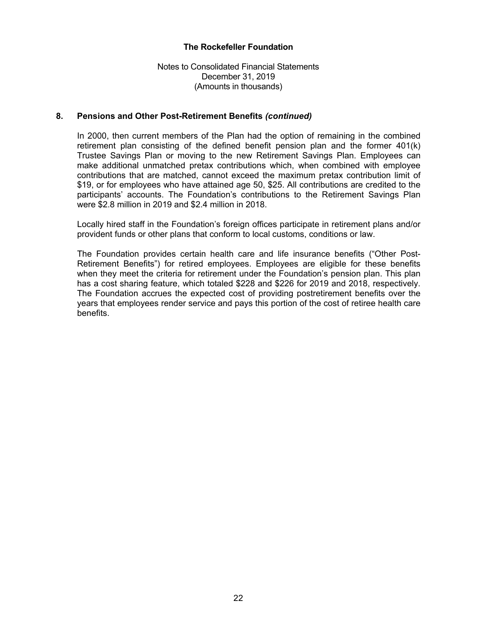Notes to Consolidated Financial Statements December 31, 2019 (Amounts in thousands)

#### **8. Pensions and Other Post-Retirement Benefits** *(continued)*

In 2000, then current members of the Plan had the option of remaining in the combined retirement plan consisting of the defined benefit pension plan and the former 401(k) Trustee Savings Plan or moving to the new Retirement Savings Plan. Employees can make additional unmatched pretax contributions which, when combined with employee contributions that are matched, cannot exceed the maximum pretax contribution limit of \$19, or for employees who have attained age 50, \$25. All contributions are credited to the participants' accounts. The Foundation's contributions to the Retirement Savings Plan were \$2.8 million in 2019 and \$2.4 million in 2018.

Locally hired staff in the Foundation's foreign offices participate in retirement plans and/or provident funds or other plans that conform to local customs, conditions or law.

The Foundation provides certain health care and life insurance benefits ("Other Post-Retirement Benefits") for retired employees. Employees are eligible for these benefits when they meet the criteria for retirement under the Foundation's pension plan. This plan has a cost sharing feature, which totaled \$228 and \$226 for 2019 and 2018, respectively. The Foundation accrues the expected cost of providing postretirement benefits over the years that employees render service and pays this portion of the cost of retiree health care benefits.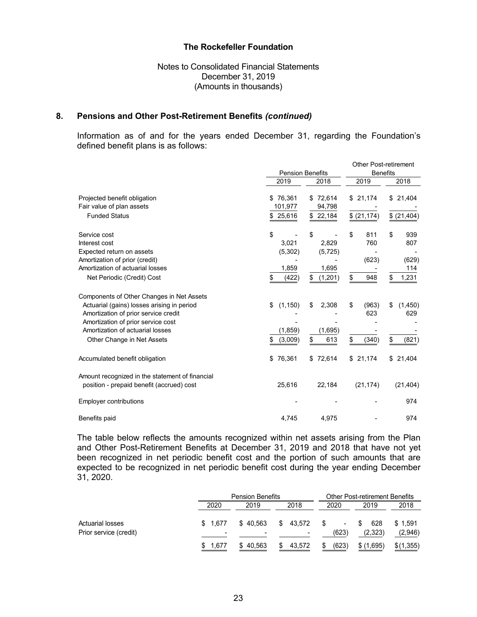#### Notes to Consolidated Financial Statements December 31, 2019 (Amounts in thousands)

#### **8. Pensions and Other Post-Retirement Benefits** *(continued)*

Information as of and for the years ended December 31, regarding the Foundation's defined benefit plans is as follows:

|                                                                                                                                                                                                                                         |                                                 |                                                   |                                        | <b>Other Post-retirement</b>                    |  |
|-----------------------------------------------------------------------------------------------------------------------------------------------------------------------------------------------------------------------------------------|-------------------------------------------------|---------------------------------------------------|----------------------------------------|-------------------------------------------------|--|
|                                                                                                                                                                                                                                         |                                                 | <b>Pension Benefits</b>                           |                                        | <b>Benefits</b>                                 |  |
|                                                                                                                                                                                                                                         | 2019                                            | 2018                                              | 2019                                   | 2018                                            |  |
| Projected benefit obligation<br>Fair value of plan assets                                                                                                                                                                               | 76,361<br>\$<br>101,977                         | \$72,614<br>94,798                                | \$21,174                               | \$21,404                                        |  |
| <b>Funded Status</b>                                                                                                                                                                                                                    | \$25,616                                        | \$22,184                                          | \$ (21, 174)                           | \$ (21,404)                                     |  |
| Service cost<br>Interest cost<br>Expected return on assets<br>Amortization of prior (credit)<br>Amortization of actuarial losses<br>Net Periodic (Credit) Cost                                                                          | \$<br>3,021<br>(5, 302)<br>1,859<br>(422)<br>\$ | \$<br>2,829<br>(5, 725)<br>1,695<br>\$<br>(1,201) | \$<br>811<br>760<br>(623)<br>\$<br>948 | \$<br>939<br>807<br>(629)<br>114<br>\$<br>1,231 |  |
| Components of Other Changes in Net Assets<br>Actuarial (gains) losses arising in period<br>Amortization of prior service credit<br>Amortization of prior service cost<br>Amortization of actuarial losses<br>Other Change in Net Assets | \$<br>(1, 150)<br>(1, 859)<br>(3,009)<br>\$     | \$<br>2,308<br>(1,695)<br>\$<br>613               | \$<br>(963)<br>623<br>\$<br>(340)      | (1,450)<br>\$<br>629<br>\$<br>(821)             |  |
| Accumulated benefit obligation                                                                                                                                                                                                          | 76,361<br>\$                                    | \$72,614                                          | \$<br>21,174                           | \$21,404                                        |  |
| Amount recognized in the statement of financial<br>position - prepaid benefit (accrued) cost                                                                                                                                            | 25,616                                          | 22,184                                            | (21, 174)                              | (21, 404)                                       |  |
| <b>Employer contributions</b>                                                                                                                                                                                                           |                                                 |                                                   |                                        | 974                                             |  |
| Benefits paid                                                                                                                                                                                                                           | 4,745                                           | 4,975                                             |                                        | 974                                             |  |

The table below reflects the amounts recognized within net assets arising from the Plan and Other Post-Retirement Benefits at December 31, 2019 and 2018 that have not yet been recognized in net periodic benefit cost and the portion of such amounts that are expected to be recognized in net periodic benefit cost during the year ending December 31, 2020.

|                                            |                                      | <b>Pension Benefits</b> |                                |                 | <b>Other Post-retirement Benefits</b> |                    |
|--------------------------------------------|--------------------------------------|-------------------------|--------------------------------|-----------------|---------------------------------------|--------------------|
|                                            | 2020                                 | 2019                    | 2018                           | 2020            | 2019                                  | 2018               |
| Actuarial losses<br>Prior service (credit) | \$ 1.677<br>$\overline{\phantom{0}}$ | \$40.563                | 43.572<br>\$<br>$\blacksquare$ | $\sim$<br>(623) | 628<br>S<br>(2,323)                   | \$1.591<br>(2,946) |
|                                            | 1.677                                | 40,563                  | 43.572<br>\$                   | (623)           | \$(1,695)                             | \$(1,355)          |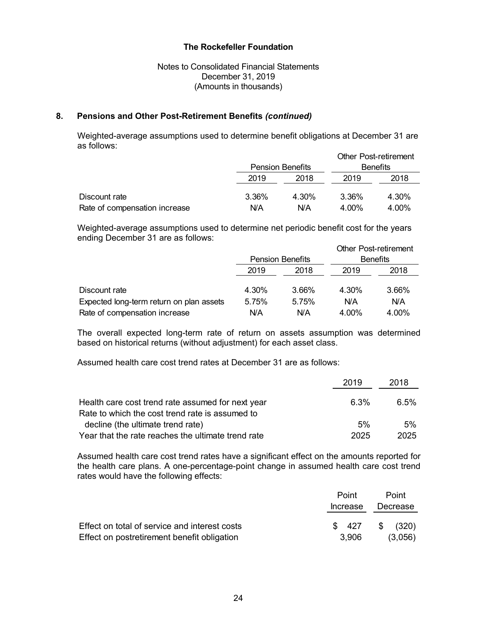# Notes to Consolidated Financial Statements December 31, 2019 (Amounts in thousands)

# **8. Pensions and Other Post-Retirement Benefits** *(continued)*

Weighted-average assumptions used to determine benefit obligations at December 31 are as follows:

|                               |       |                         |                 | <b>Other Post-retirement</b> |
|-------------------------------|-------|-------------------------|-----------------|------------------------------|
|                               |       | <b>Pension Benefits</b> | <b>Benefits</b> |                              |
|                               | 2019  | 2018                    | 2019            | 2018                         |
| Discount rate                 | 3.36% | 4.30%                   | 3.36%           | 4.30%                        |
| Rate of compensation increase | N/A   | N/A                     | 4.00%           | 4.00%                        |

Weighted-average assumptions used to determine net periodic benefit cost for the years ending December 31 are as follows:

|                                          |                         |       |                 | <b>Other Post-retirement</b> |
|------------------------------------------|-------------------------|-------|-----------------|------------------------------|
|                                          | <b>Pension Benefits</b> |       | <b>Benefits</b> |                              |
|                                          | 2019                    | 2018  | 2019            | 2018                         |
| Discount rate                            | 4.30%                   | 3.66% | 4.30%           | 3.66%                        |
| Expected long-term return on plan assets | 5.75%                   | 5.75% | N/A             | N/A                          |
| Rate of compensation increase            | N/A                     | N/A   | 4.00%           | 4.00%                        |

The overall expected long-term rate of return on assets assumption was determined based on historical returns (without adjustment) for each asset class.

Assumed health care cost trend rates at December 31 are as follows:

|                                                    | 2019 | 2018 |
|----------------------------------------------------|------|------|
| Health care cost trend rate assumed for next year  | ٬ ვ% | ი 5% |
| Rate to which the cost trend rate is assumed to    |      |      |
| decline (the ultimate trend rate)                  | 5%   | 5%   |
| Year that the rate reaches the ultimate trend rate | 2025 | 2025 |

Assumed health care cost trend rates have a significant effect on the amounts reported for the health care plans. A one-percentage-point change in assumed health care cost trend rates would have the following effects:

|                                               | Point    | Point    |
|-----------------------------------------------|----------|----------|
|                                               | Increase | Decrease |
| Effect on total of service and interest costs | \$ 427   | \$ (320) |
| Effect on postretirement benefit obligation   | 3.906    | (3,056)  |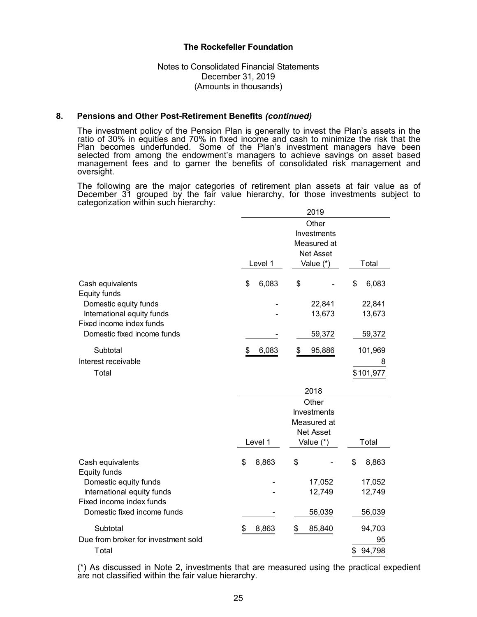# Notes to Consolidated Financial Statements December 31, 2019 (Amounts in thousands)

#### **8. Pensions and Other Post-Retirement Benefits** *(continued)*

The investment policy of the Pension Plan is generally to invest the Plan's assets in the ratio of 30% in equities and 70% in fixed income and cash to minimize the risk that the Plan becomes underfunded. Some of the Plan's investment managers have been selected from among the endowment's managers to achieve savings on asset based management fees and to garner the benefits of consolidated risk management and oversight.

The following are the major categories of retirement plan assets at fair value as of December 31 grouped by the fair value hierarchy, for those investments subject to categorization within such hierarchy:

|                                                        | 2019        |                               |              |  |
|--------------------------------------------------------|-------------|-------------------------------|--------------|--|
|                                                        |             | Other<br>Investments          |              |  |
|                                                        |             | Measured at                   |              |  |
|                                                        | Level 1     | <b>Net Asset</b><br>Value (*) | Total        |  |
| Cash equivalents<br><b>Equity funds</b>                | \$<br>6,083 | \$                            | \$<br>6,083  |  |
| Domestic equity funds                                  |             | 22,841                        | 22,841       |  |
| International equity funds<br>Fixed income index funds |             | 13,673                        | 13,673       |  |
| Domestic fixed income funds                            |             | 59,372                        | 59,372       |  |
| Subtotal                                               | \$<br>6,083 | \$<br>95,886                  | 101,969      |  |
| Interest receivable                                    |             |                               |              |  |
| Total                                                  |             |                               | \$101,977    |  |
|                                                        |             | 2018                          |              |  |
|                                                        |             | Other                         |              |  |
|                                                        |             | Investments<br>Measured at    |              |  |
|                                                        |             | <b>Net Asset</b>              |              |  |
|                                                        | Level 1     | Value (*)                     | Total        |  |
| Cash equivalents<br>Equity funds                       | \$<br>8,863 | \$                            | 8,863<br>\$  |  |
| Domestic equity funds                                  |             | 17,052                        | 17,052       |  |
| International equity funds<br>Fixed income index funds |             | 12,749                        | 12,749       |  |
| Domestic fixed income funds                            |             | 56,039                        | 56,039       |  |
| Subtotal                                               | 8,863<br>\$ | 85,840<br>\$                  | 94,703       |  |
| Due from broker for investment sold                    |             |                               | 95           |  |
| Total                                                  |             |                               | \$<br>94,798 |  |

(\*) As discussed in Note 2, investments that are measured using the practical expedient are not classified within the fair value hierarchy.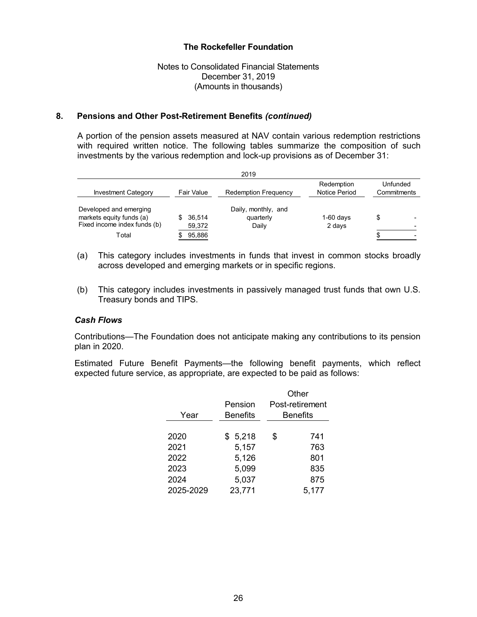Notes to Consolidated Financial Statements December 31, 2019 (Amounts in thousands)

#### **8. Pensions and Other Post-Retirement Benefits** *(continued)*

A portion of the pension assets measured at NAV contain various redemption restrictions with required written notice. The following tables summarize the composition of such investments by the various redemption and lock-up provisions as of December 31:

| 2019                                                                               |                  |                                           |                             |                         |
|------------------------------------------------------------------------------------|------------------|-------------------------------------------|-----------------------------|-------------------------|
| <b>Investment Category</b>                                                         | Fair Value       | <b>Redemption Frequency</b>               | Redemption<br>Notice Period | Unfunded<br>Commitments |
| Developed and emerging<br>markets equity funds (a)<br>Fixed income index funds (b) | 36.514<br>59,372 | Daily, monthly, and<br>quarterly<br>Daily | $1-60$ days<br>2 days       | \$                      |
| Total                                                                              | 95,886           |                                           |                             | \$.<br>-                |

- (a) This category includes investments in funds that invest in common stocks broadly across developed and emerging markets or in specific regions.
- (b) This category includes investments in passively managed trust funds that own U.S. Treasury bonds and TIPS.

#### *Cash Flows*

Contributions—The Foundation does not anticipate making any contributions to its pension plan in 2020.

Estimated Future Benefit Payments*—*the following benefit payments, which reflect expected future service, as appropriate, are expected to be paid as follows:

|           |          |          | Other           |
|-----------|----------|----------|-----------------|
|           | Pension  |          | Post-retirement |
| Year      | Benefits | Benefits |                 |
|           |          |          |                 |
| 2020      | \$5,218  | \$       | 741             |
| 2021      | 5,157    |          | 763             |
| 2022      | 5,126    |          | 801             |
| 2023      | 5,099    |          | 835             |
| 2024      | 5.037    |          | 875             |
| 2025-2029 | 23,771   |          | 5,177           |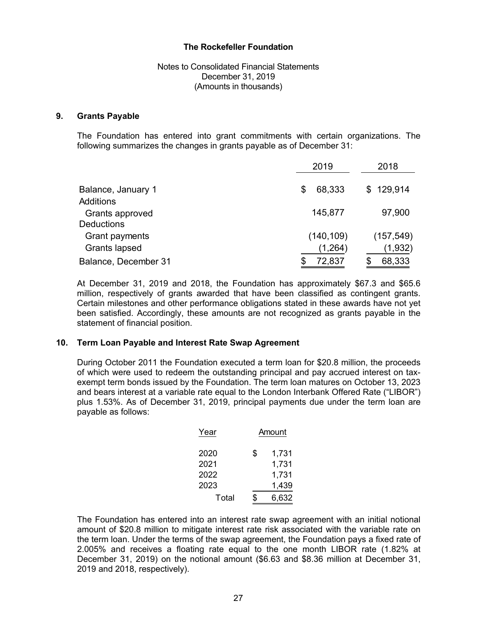Notes to Consolidated Financial Statements December 31, 2019 (Amounts in thousands)

#### **9. Grants Payable**

The Foundation has entered into grant commitments with certain organizations. The following summarizes the changes in grants payable as of December 31:

|                      | 2019         | 2018           |  |
|----------------------|--------------|----------------|--|
| Balance, January 1   | 68,333<br>\$ | 129,914<br>\$. |  |
| <b>Additions</b>     |              |                |  |
| Grants approved      | 145,877      | 97,900         |  |
| <b>Deductions</b>    |              |                |  |
| Grant payments       | (140, 109)   | (157, 549)     |  |
| Grants lapsed        | (1, 264)     | (1,932)        |  |
| Balance, December 31 | 72,837       | 68,333         |  |

At December 31, 2019 and 2018, the Foundation has approximately \$67.3 and \$65.6 million, respectively of grants awarded that have been classified as contingent grants. Certain milestones and other performance obligations stated in these awards have not yet been satisfied. Accordingly, these amounts are not recognized as grants payable in the statement of financial position.

#### **10. Term Loan Payable and Interest Rate Swap Agreement**

During October 2011 the Foundation executed a term loan for \$20.8 million, the proceeds of which were used to redeem the outstanding principal and pay accrued interest on taxexempt term bonds issued by the Foundation. The term loan matures on October 13, 2023 and bears interest at a variable rate equal to the London Interbank Offered Rate ("LIBOR") plus 1.53%. As of December 31, 2019, principal payments due under the term loan are payable as follows:

| Year  | Amount |       |
|-------|--------|-------|
| 2020  | \$     | 1,731 |
| 2021  |        | 1,731 |
| 2022  |        | 1,731 |
| 2023  |        | 1,439 |
| Total | ፍ      | 6,632 |

The Foundation has entered into an interest rate swap agreement with an initial notional amount of \$20.8 million to mitigate interest rate risk associated with the variable rate on the term loan. Under the terms of the swap agreement, the Foundation pays a fixed rate of 2.005% and receives a floating rate equal to the one month LIBOR rate (1.82% at December 31, 2019) on the notional amount (\$6.63 and \$8.36 million at December 31, 2019 and 2018, respectively).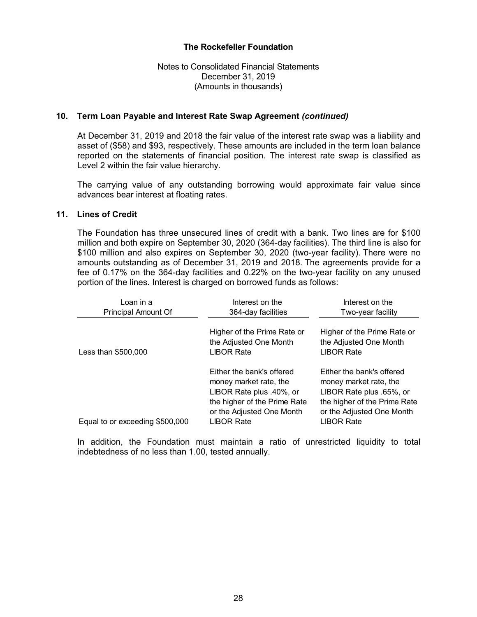Notes to Consolidated Financial Statements December 31, 2019 (Amounts in thousands)

#### **10. Term Loan Payable and Interest Rate Swap Agreement** *(continued)*

At December 31, 2019 and 2018 the fair value of the interest rate swap was a liability and asset of (\$58) and \$93, respectively. These amounts are included in the term loan balance reported on the statements of financial position. The interest rate swap is classified as Level 2 within the fair value hierarchy.

The carrying value of any outstanding borrowing would approximate fair value since advances bear interest at floating rates.

# **11. Lines of Credit**

The Foundation has three unsecured lines of credit with a bank. Two lines are for \$100 million and both expire on September 30, 2020 (364-day facilities). The third line is also for \$100 million and also expires on September 30, 2020 (two-year facility). There were no amounts outstanding as of December 31, 2019 and 2018. The agreements provide for a fee of 0.17% on the 364-day facilities and 0.22% on the two-year facility on any unused portion of the lines. Interest is charged on borrowed funds as follows:

| Loan in a<br>Principal Amount Of | Interest on the<br>364-day facilities                                                                                                                             | Interest on the<br>Two-year facility                                                                                                                              |
|----------------------------------|-------------------------------------------------------------------------------------------------------------------------------------------------------------------|-------------------------------------------------------------------------------------------------------------------------------------------------------------------|
| Less than \$500,000              | Higher of the Prime Rate or<br>the Adjusted One Month<br><b>LIBOR Rate</b>                                                                                        | Higher of the Prime Rate or<br>the Adjusted One Month<br><b>LIBOR Rate</b>                                                                                        |
| Equal to or exceeding \$500,000  | Either the bank's offered<br>money market rate, the<br>LIBOR Rate plus .40%, or<br>the higher of the Prime Rate<br>or the Adjusted One Month<br><b>LIBOR Rate</b> | Either the bank's offered<br>money market rate, the<br>LIBOR Rate plus .65%, or<br>the higher of the Prime Rate<br>or the Adjusted One Month<br><b>LIBOR Rate</b> |

In addition, the Foundation must maintain a ratio of unrestricted liquidity to total indebtedness of no less than 1.00, tested annually.